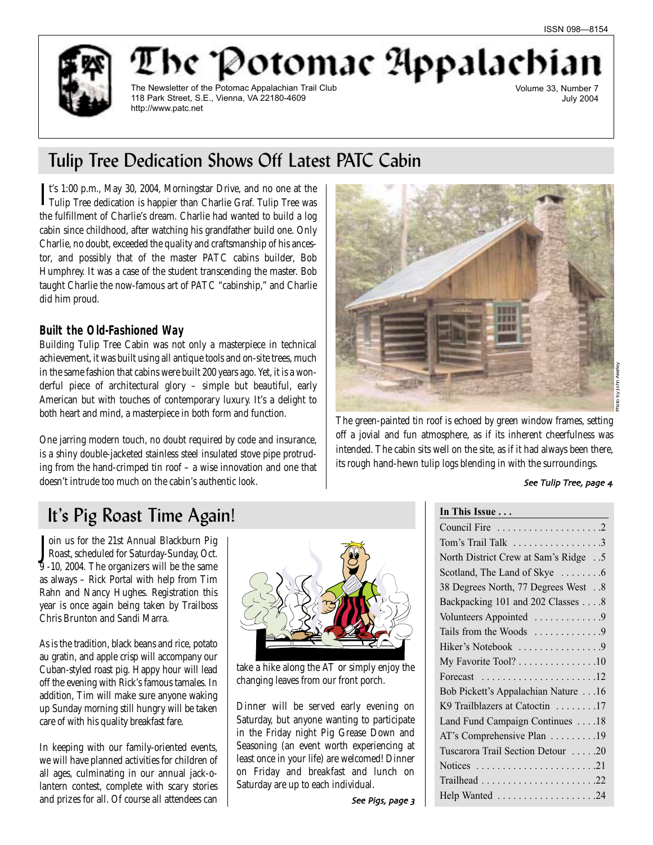be "Potomac Appalachi The Newsletter of the Potomac Appalachian Trail Club 118 Park Street, S.E., Vienna, VA 22180-4609 http://www.patc.net

Volume 33, Number 7 July 2004

# Tulip Tree Dedication Shows Off Latest PATC Cabin

It's 1:00 p.m., May 30, 2004, Morningstar Drive, and no one at the Tulip Tree dedication is happier than Charlie Graf. Tulip Tree was t's 1:00 p.m., May 30, 2004, Morningstar Drive, and no one at the the fulfillment of Charlie's dream. Charlie had wanted to build a log cabin since childhood, after watching his grandfather build one. Only Charlie, no doubt, exceeded the quality and craftsmanship of his ancestor, and possibly that of the master PATC cabins builder, Bob Humphrey. It was a case of the student transcending the master. Bob taught Charlie the now-famous art of PATC "cabinship," and Charlie did him proud.

# **Built the Old-Fashioned Way**

Building Tulip Tree Cabin was not only a masterpiece in technical achievement, it was built using all antique tools and on-site trees, much in the same fashion that cabins were built 200 years ago. Yet, it is a wonderful piece of architectural glory – simple but beautiful, early American but with touches of contemporary luxury. It's a delight to both heart and mind, a masterpiece in both form and function.

One jarring modern touch, no doubt required by code and insurance, is a shiny double-jacketed stainless steel insulated stove pipe protruding from the hand-crimped tin roof – a wise innovation and one that doesn't intrude too much on the cabin's authentic look.



The green-painted tin roof is echoed by green window frames, setting off a jovial and fun atmosphere, as if its inherent cheerfulness was intended. The cabin sits well on the site, as if it had always been there, its rough hand-hewn tulip logs blending in with the surroundings.

See Tulip Tree, page 4

# It's Pig Roast Time Again!

Join us for the 21st Annual Blackburn Pig<br>Roast, scheduled for Saturday-Sunday, Oct. oin us for the 21st Annual Blackburn Pig 9 -10, 2004. The organizers will be the same as always – Rick Portal with help from Tim Rahn and Nancy Hughes. Registration this year is once again being taken by Trailboss Chris Brunton and Sandi Marra.

As is the tradition, black beans and rice, potato au gratin, and apple crisp will accompany our Cuban-styled roast pig. Happy hour will lead off the evening with Rick's famous tamales. In addition, Tim will make sure anyone waking up Sunday morning still hungry will be taken care of with his quality breakfast fare.

In keeping with our family-oriented events, we will have planned activities for children of all ages, culminating in our annual jack-olantern contest, complete with scary stories and prizes for all. Of course all attendees can



take a hike along the AT or simply enjoy the changing leaves from our front porch.

Dinner will be served early evening on Saturday, but anyone wanting to participate in the Friday night Pig Grease Down and Seasoning (an event worth experiencing at least once in your life) are welcomed! Dinner on Friday and breakfast and lunch on Saturday are up to each individual.

**In This Issue . . .** Council Fire . . . . . . . . . . . . . . . . . . . .2 Tom's Trail Talk . . . . . . . . . . . . . . . . .3 North District Crew at Sam's Ridge . .5 Scotland, The Land of Skye  $\dots \dots 6$ 38 Degrees North, 77 Degrees West . .8 Backpacking 101 and 202 Classes . . . .8 Volunteers Appointed . . . . . . . . . . . . 9 Tails from the Woods . . . . . . . . . . . . . 9 Hiker's Notebook . . . . . . . . . . . . . . . . 9 My Favorite Tool? . . . . . . . . . . . . . . .10 Forecast . . . . . . . . . . . . . . . . . . . . . .12 Bob Pickett's Appalachian Nature . . .16 K9 Trailblazers at Catoctin . . . . . . . .17 Land Fund Campaign Continues . . . .18 AT's Comprehensive Plan . . . . . . . . .19 Tuscarora Trail Section Detour . . . . .20 Notices . . . . . . . . . . . . . . . . . . . . . . .21 Trailhead . . . . . . . . . . . . . . . . . . . . . .22 Help Wanted . . . . . . . . . . . . . . . . . . .24

See Pigs, page 3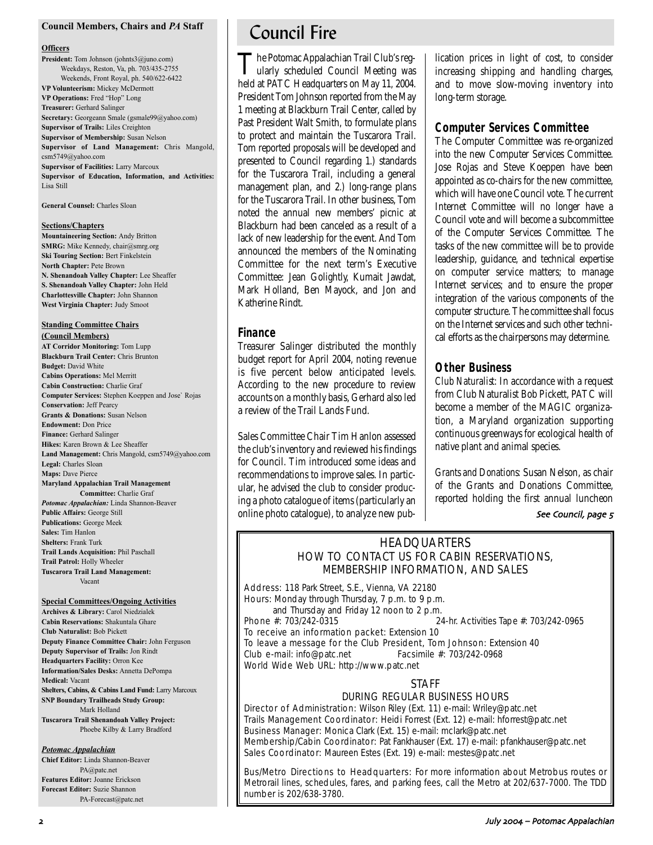## **Council Members, Chairs and** *PA* **Staff**

### **Officers**

**President:** Tom Johnson (johnts3@juno.com) Weekdays, Reston, Va, ph. 703/435-2755 Weekends, Front Royal, ph. 540/622-6422 **VP Volunteerism:** Mickey McDermott **VP Operations:** Fred "Hop" Long **Treasurer:** Gerhard Salinger **Secretary:** Georgeann Smale (gsmale99@yahoo.com) **Supervisor of Trails:** Liles Creighton **Supervisor of Membership:** Susan Nelson **Supervisor of Land Management:** Chris Mangold, csm5749@yahoo.com **Supervisor of Facilities:** Larry Marcoux **Supervisor of Education, Information, and Activities:** Lisa Still

**General Counsel:** Charles Sloan

## **Sections/Chapters**

**Mountaineering Section:** Andy Britton **SMRG:** Mike Kennedy, chair@smrg.org **Ski Touring Section:** Bert Finkelstein **North Chapter:** Pete Brown **N. Shenandoah Valley Chapter:** Lee Sheaffer **S. Shenandoah Valley Chapter:** John Held **Charlottesville Chapter:** John Shannon **West Virginia Chapter:** Judy Smoot

## **Standing Committee Chairs**

**(Council Members) AT Corridor Monitoring:** Tom Lupp **Blackburn Trail Center:** Chris Brunton **Budget:** David White **Cabins Operations:** Mel Merritt **Cabin Construction:** Charlie Graf **Computer Services:** Stephen Koeppen and Jose` Rojas **Conservation:** Jeff Pearcy **Grants & Donations:** Susan Nelson **Endowment:** Don Price **Finance:** Gerhard Salinger **Hikes:** Karen Brown & Lee Sheaffer **Land Management:** Chris Mangold, csm5749@yahoo.com **Legal:** Charles Sloan **Maps:** Dave Pierce **Maryland Appalachian Trail Management Committee:** Charlie Graf *Potomac Appalachian:* Linda Shannon-Beaver **Public Affairs:** George Still **Publications:** George Meek **Sales:** Tim Hanlon **Shelters:** Frank Turk **Trail Lands Acquisition:** Phil Paschall **Trail Patrol:** Holly Wheeler

**Tuscarora Trail Land Management:** Vacant

### **Special Committees/Ongoing Activities**

**Archives & Library:** Carol Niedzialek **Cabin Reservations:** Shakuntala Ghare **Club Naturalist:** Bob Pickett **Deputy Finance Committee Chair:** John Ferguson **Deputy Supervisor of Trails:** Jon Rindt **Headquarters Facility:** Orron Kee **Information/Sales Desks:** Annetta DePompa **Medical:** Vacant **Shelters, Cabins, & Cabins Land Fund:** Larry Marcoux **SNP Boundary Trailheads Study Group:** Mark Holland **Tuscarora Trail Shenandoah Valley Project:** Phoebe Kilby & Larry Bradford

### *Potomac Appalachian*

**Chief Editor:** Linda Shannon-Beaver PA@patc.net **Features Editor:** Joanne Erickson **Forecast Editor:** Suzie Shannon PA-Forecast@patc.net

# Council Fire

The Potomac Appalachian Trail Club's reg-<br>ularly scheduled Council Meeting was held at PATC Headquarters on May 11, 2004. President Tom Johnson reported from the May 1 meeting at Blackburn Trail Center, called by Past President Walt Smith, to formulate plans to protect and maintain the Tuscarora Trail. Tom reported proposals will be developed and presented to Council regarding 1.) standards for the Tuscarora Trail, including a general management plan, and 2.) long-range plans for the Tuscarora Trail. In other business, Tom noted the annual new members' picnic at Blackburn had been canceled as a result of a lack of new leadership for the event. And Tom announced the members of the Nominating Committee for the next term's Executive Committee: Jean Golightly, Kumait Jawdat, Mark Holland, Ben Mayock, and Jon and Katherine Rindt.

## **Finance**

Treasurer Salinger distributed the monthly budget report for April 2004, noting revenue is five percent below anticipated levels. According to the new procedure to review accounts on a monthly basis, Gerhard also led a review of the Trail Lands Fund.

Sales Committee Chair Tim Hanlon assessed the club's inventory and reviewed his findings for Council. Tim introduced some ideas and recommendations to improve sales. In particular, he advised the club to consider producing a photo catalogue of items (particularly an online photo catalogue), to analyze new publication prices in light of cost, to consider increasing shipping and handling charges, and to move slow-moving inventory into long-term storage.

## **Computer Services Committee**

The Computer Committee was re-organized into the new Computer Services Committee. Jose Rojas and Steve Koeppen have been appointed as co-chairs for the new committee, which will have one Council vote. The current Internet Committee will no longer have a Council vote and will become a subcommittee of the Computer Services Committee. The tasks of the new committee will be to provide leadership, guidance, and technical expertise on computer service matters; to manage Internet services; and to ensure the proper integration of the various components of the computer structure. The committee shall focus on the Internet services and such other technical efforts as the chairpersons may determine.

## **Other Business**

*Club Naturalist:* In accordance with a request from Club Naturalist Bob Pickett, PATC will become a member of the MAGIC organization, a Maryland organization supporting continuous greenways for ecological health of native plant and animal species.

*Grants and Donations:* Susan Nelson, as chair of the Grants and Donations Committee, reported holding the first annual luncheon

## See Council, page 5

# **HEADQUARTERS** HOW TO CONTACT US FOR CABIN RESERVATIONS, MEMBERSHIP INFORMATION, AND SALES

Address: 118 Park Street, S.E., Vienna, VA 22180 Hours: Monday through Thursday, 7 p.m. to 9 p.m. and Thursday and Friday 12 noon to 2 p.m.<br>Phone  $\#$ : 703/242-0315 24-hr. Activities Tape #: 703/242-0965

To receive an information packet: Extension 10

To leave a message for the Club President, Tom Johnson: Extension 40 Club e-mail: info@patc.net Facsimile #: 703/242-0968 World Wide Web URL: http://www.patc.net

## STAFF

## DURING REGULAR BUSINESS HOURS

Director of Administration: Wilson Riley (Ext. 11) e-mail: Wriley@patc.net Trails Management Coordinator: Heidi Forrest (Ext. 12) e-mail: hforrest@patc.net Business Manager: Monica Clark (Ext. 15) e-mail: mclark@patc.net Membership/Cabin Coordinator: Pat Fankhauser (Ext. 17) e-mail: pfankhauser@patc.net Sales Coordinator: Maureen Estes (Ext. 19) e-mail: mestes@patc.net

Bus/Metro Directions to Headquarters: For more information about Metrobus routes or Metrorail lines, schedules, fares, and parking fees, call the Metro at 202/637-7000. The TDD number is 202/638-3780.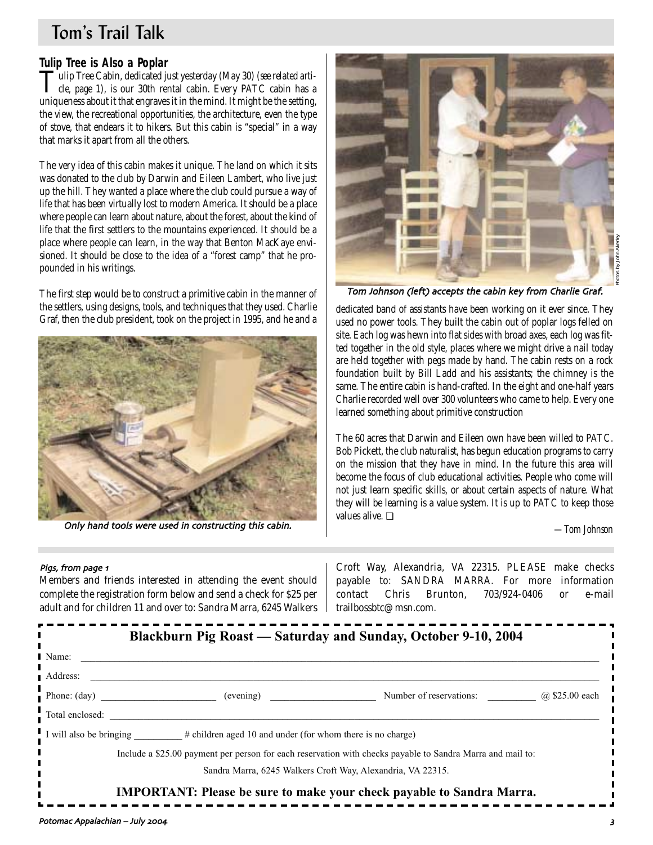# Tom's Trail Talk

**Tulip Tree is Also a Poplar**<br>**T**ulip Tree Cabin, dedicated just yesterday (May 30) (see related arti-Tulip Tree Cabin, dedicated just yesterday (May 30) (*see related arti-cle, page 1*), is our 30th rental cabin. Every PATC cabin has a uniqueness about it that engraves it in the mind. It might be the setting, the view, the recreational opportunities, the architecture, even the type of stove, that endears it to hikers. But this cabin is "special" in a way that marks it apart from all the others.

The very idea of this cabin makes it unique. The land on which it sits was donated to the club by Darwin and Eileen Lambert, who live just up the hill. They wanted a place where the club could pursue a way of life that has been virtually lost to modern America. It should be a place where people can learn about nature, about the forest, about the kind of life that the first settlers to the mountains experienced. It should be a place where people can learn, in the way that Benton MacKaye envisioned. It should be close to the idea of a "forest camp" that he propounded in his writings.

The first step would be to construct a primitive cabin in the manner of the settlers, using designs, tools, and techniques that they used. Charlie



Only hand tools were used in constructing this cabin.



Tom Johnson (left) accepts the cabin key from Charlie Graf.

the settlers, using designs, tools, and techniques that they used. Charlie dedicated band of assistants have been working on it ever since. They Graf, then the club president, took on the project in 1995, and he and a degr used no power tools. They built the cabin out of poplar logs felled on site. Each log was hewn into flat sides with broad axes, each log was fitted together in the old style, places where we might drive a nail today are held together with pegs made by hand. The cabin rests on a rock foundation built by Bill Ladd and his assistants; the chimney is the same. The entire cabin is hand-crafted. In the eight and one-half years Charlie recorded well over 300 volunteers who came to help. Every one learned something about primitive construction

> The 60 acres that Darwin and Eileen own have been willed to PATC. Bob Pickett, the club naturalist, has begun education programs to carry on the mission that they have in mind. In the future this area will become the focus of club educational activities. People who come will not just learn specific skills, or about certain aspects of nature. What they will be learning is a value system. It is up to PATC to keep those values alive. ❏

> > *—Tom Johnson*

## Pigs, from page 1

Members and friends interested in attending the event should complete the registration form below and send a check for \$25 per adult and for children 11 and over to: Sandra Marra, 6245 Walkers

Croft Way, Alexandria, VA 22315. PLEASE make checks payable to: SANDRA MARRA. For more information contact Chris Brunton, 703/924-0406 or e-mail trailbossbtc@msn.com.

|                       |                                                                                   | Blackburn Pig Roast — Saturday and Sunday, October 9-10, 2004                                              |                |
|-----------------------|-----------------------------------------------------------------------------------|------------------------------------------------------------------------------------------------------------|----------------|
| l Name:               |                                                                                   |                                                                                                            |                |
| Address:              |                                                                                   |                                                                                                            |                |
| Phone: $(\text{day})$ | (evening)                                                                         | Number of reservations:                                                                                    | @ \$25.00 each |
| Total enclosed:       |                                                                                   |                                                                                                            |                |
|                       | I will also be bringing #children aged 10 and under (for whom there is no charge) |                                                                                                            |                |
|                       |                                                                                   | Include a \$25.00 payment per person for each reservation with checks payable to Sandra Marra and mail to: |                |
|                       | Sandra Marra, 6245 Walkers Croft Way, Alexandria, VA 22315.                       |                                                                                                            |                |
|                       |                                                                                   | <b>IMPORTANT: Please be sure to make your check payable to Sandra Marra.</b>                               |                |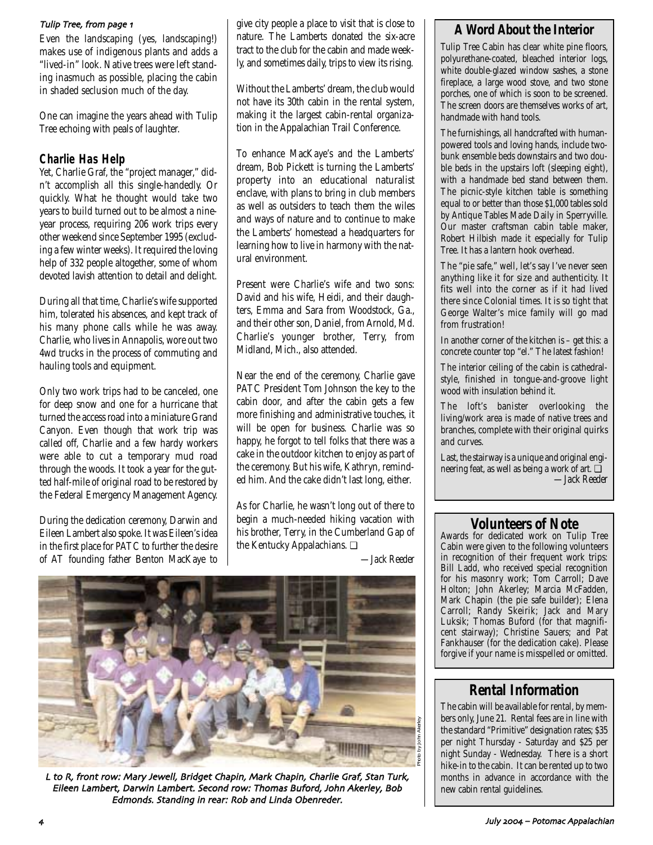Even the landscaping (yes, landscaping!) makes use of indigenous plants and adds a "lived-in" look. Native trees were left standing inasmuch as possible, placing the cabin in shaded seclusion much of the day.

One can imagine the years ahead with Tulip Tree echoing with peals of laughter.

# **Charlie Has Help**

Yet, Charlie Graf, the "project manager," didn't accomplish all this single-handedly. Or quickly. What he thought would take two years to build turned out to be almost a nineyear process, requiring 206 work trips every other weekend since September 1995 (excluding a few winter weeks). It required the loving help of 332 people altogether, some of whom devoted lavish attention to detail and delight.

During all that time, Charlie's wife supported him, tolerated his absences, and kept track of his many phone calls while he was away. Charlie, who lives in Annapolis, wore out two 4wd trucks in the process of commuting and hauling tools and equipment.

Only two work trips had to be canceled, one for deep snow and one for a hurricane that turned the access road into a miniature Grand Canyon. Even though that work trip was called off, Charlie and a few hardy workers were able to cut a temporary mud road through the woods. It took a year for the gutted half-mile of original road to be restored by the Federal Emergency Management Agency.

During the dedication ceremony, Darwin and Eileen Lambert also spoke. It was Eileen's idea in the first place for PATC to further the desire of AT founding father Benton MacKaye to

give city people a place to visit that is close to nature. The Lamberts donated the six-acre tract to the club for the cabin and made weekly, and sometimes daily, trips to view its rising. Tulip Tree, from page  $\boldsymbol{\theta}$  are  $\boldsymbol{\theta}$  a place to visit that is close to  $\boldsymbol{\theta}$  **A Word About the Interior** 

> Without the Lamberts' dream, the club would not have its 30th cabin in the rental system, making it the largest cabin-rental organization in the Appalachian Trail Conference.

> To enhance MacKaye's and the Lamberts' dream, Bob Pickett is turning the Lamberts' property into an educational naturalist enclave, with plans to bring in club members as well as outsiders to teach them the wiles and ways of nature and to continue to make the Lamberts' homestead a headquarters for learning how to live in harmony with the natural environment.

> Present were Charlie's wife and two sons: David and his wife, Heidi, and their daughters, Emma and Sara from Woodstock, Ga., and their other son, Daniel, from Arnold, Md. Charlie's younger brother, Terry, from Midland, Mich., also attended.

> Near the end of the ceremony, Charlie gave PATC President Tom Johnson the key to the cabin door, and after the cabin gets a few more finishing and administrative touches, it will be open for business. Charlie was so happy, he forgot to tell folks that there was a cake in the outdoor kitchen to enjoy as part of the ceremony. But his wife, Kathryn, reminded him. And the cake didn't last long, either.

> As for Charlie, he wasn't long out of there to begin a much-needed hiking vacation with his brother, Terry, in the Cumberland Gap of the Kentucky Appalachians. ❏

> > *—Jack Reeder*



L to R, front row: Mary Jewell, Bridget Chapin, Mark Chapin, Charlie Graf, Stan Turk, Eileen Lambert, Darwin Lambert. Second row: Thomas Buford, John Akerley, Bob Edmonds. Standing in rear: Rob and Linda Obenreder.

Tulip Tree Cabin has clear white pine floors, polyurethane-coated, bleached interior logs, white double-glazed window sashes, a stone fireplace, a large wood stove, and two stone porches, one of which is soon to be screened. The screen doors are themselves works of art, handmade with hand tools.

The furnishings, all handcrafted with humanpowered tools and loving hands, include twobunk ensemble beds downstairs and two double beds in the upstairs loft (sleeping eight), with a handmade bed stand between them. The picnic-style kitchen table is something equal to or better than those \$1,000 tables sold by Antique Tables Made Daily in Sperryville. Our master craftsman cabin table maker, Robert Hilbish made it especially for Tulip Tree. It has a lantern hook overhead.

The "pie safe," well, let's say I've never seen anything like it for size and authenticity. It fits well into the corner as if it had lived there since Colonial times. It is so tight that George Walter's mice family will go mad from frustration!

In another corner of the kitchen is – get this: a concrete counter top "el." The latest fashion!

The interior ceiling of the cabin is cathedralstyle, finished in tongue-and-groove light wood with insulation behind it.

The loft's banister overlooking the living/work area is made of native trees and branches, complete with their original quirks and curves.

Last, the stairway is a unique and original engineering feat, as well as being a work of art. ❏ *—Jack Reeder*

# **Volunteers of Note**

Awards for dedicated work on Tulip Tree Cabin were given to the following volunteers in recognition of their frequent work trips: Bill Ladd, who received special recognition for his masonry work; Tom Carroll; Dave Holton; John Akerley; Marcia McFadden, Mark Chapin (the pie safe builder); Elena Carroll; Randy Skeirik; Jack and Mary Luksik; Thomas Buford (for that magnificent stairway); Christine Sauers; and Pat Fankhauser (for the dedication cake). Please forgive if your name is misspelled or omitted.

# **Rental Information**

The cabin will be available for rental, by members only, June 21. Rental fees are in line with the standard "Primitive" designation rates; \$35 per night Thursday - Saturday and \$25 per night Sunday - Wednesday. There is a short hike-in to the cabin. It can be rented up to two months in advance in accordance with the new cabin rental guidelines.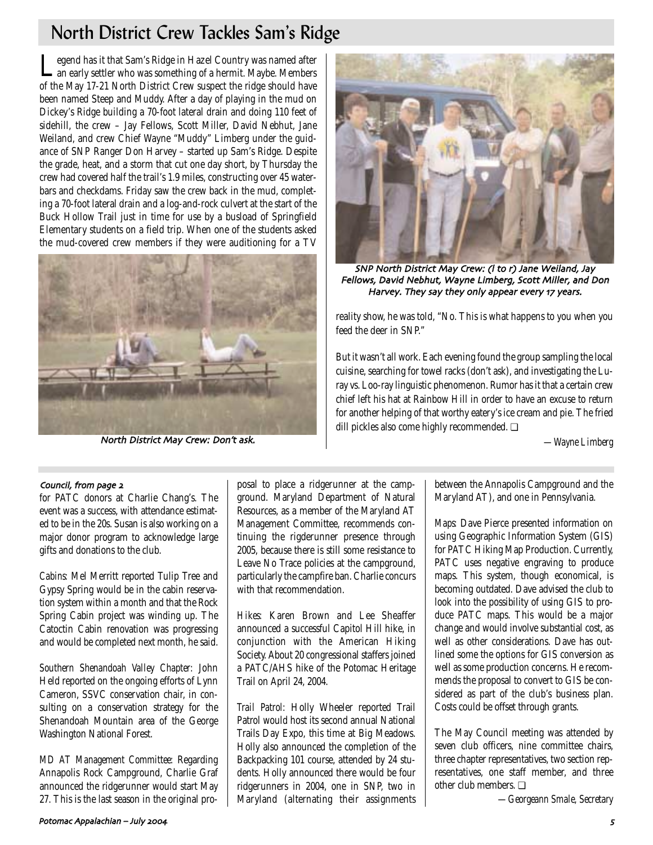# North District Crew Tackles Sam's Ridge

Legend has it that Sam's Ridge in Hazel Country was named after an early settler who was something of a hermit. Maybe. Members of the May 17-21 North District Crew suspect the ridge should have been named Steep and Muddy. After a day of playing in the mud on Dickey's Ridge building a 70-foot lateral drain and doing 110 feet of sidehill, the crew – Jay Fellows, Scott Miller, David Nebhut, Jane Weiland, and crew Chief Wayne "Muddy" Limberg under the guidance of SNP Ranger Don Harvey – started up Sam's Ridge. Despite the grade, heat, and a storm that cut one day short, by Thursday the crew had covered half the trail's 1.9 miles, constructing over 45 waterbars and checkdams. Friday saw the crew back in the mud, completing a 70-foot lateral drain and a log-and-rock culvert at the start of the Buck Hollow Trail just in time for use by a busload of Springfield Elementary students on a field trip. When one of the students asked the mud-covered crew members if they were auditioning for a TV



North District May Crew: Don't ask.



SNP North District May Crew: (I to r) Jane Weiland, Jay Fellows, David Nebhut, Wayne Limberg, Scott Miller, and Don Harvey. They say they only appear every 17 years.

reality show, he was told, "No. This is what happens to you when you feed the deer in SNP."

But it wasn't all work. Each evening found the group sampling the local cuisine, searching for towel racks (don't ask), and investigating the Luray vs. Loo-ray linguistic phenomenon. Rumor has it that a certain crew chief left his hat at Rainbow Hill in order to have an excuse to return for another helping of that worthy eatery's ice cream and pie. The fried dill pickles also come highly recommended. ❏

*—Wayne Limberg*

## Council, from page 2

for PATC donors at Charlie Chang's. The event was a success, with attendance estimated to be in the 20s. Susan is also working on a major donor program to acknowledge large gifts and donations to the club.

*Cabins:* Mel Merritt reported Tulip Tree and Gypsy Spring would be in the cabin reservation system within a month and that the Rock Spring Cabin project was winding up. The Catoctin Cabin renovation was progressing and would be completed next month, he said.

*Southern Shenandoah Valley Chapter:* John Held reported on the ongoing efforts of Lynn Cameron, SSVC conservation chair, in consulting on a conservation strategy for the Shenandoah Mountain area of the George Washington National Forest.

*MD AT Management Committee:* Regarding Annapolis Rock Campground, Charlie Graf announced the ridgerunner would start May 27. This is the last season in the original proposal to place a ridgerunner at the campground. Maryland Department of Natural Resources, as a member of the Maryland AT Management Committee, recommends continuing the rigderunner presence through 2005, because there is still some resistance to Leave No Trace policies at the campground, particularly the campfire ban. Charlie concurs with that recommendation

*Hikes:* Karen Brown and Lee Sheaffer announced a successful Capitol Hill hike, in conjunction with the American Hiking Society. About 20 congressional staffers joined a PATC/AHS hike of the Potomac Heritage Trail on April 24, 2004.

*Trail Patrol:* Holly Wheeler reported Trail Patrol would host its second annual National Trails Day Expo, this time at Big Meadows. Holly also announced the completion of the Backpacking 101 course, attended by 24 students. Holly announced there would be four ridgerunners in 2004, one in SNP, two in Maryland (alternating their assignments between the Annapolis Campground and the Maryland AT), and one in Pennsylvania.

*Maps:* Dave Pierce presented information on using Geographic Information System (GIS) for PATC Hiking Map Production. Currently, PATC uses negative engraving to produce maps. This system, though economical, is becoming outdated. Dave advised the club to look into the possibility of using GIS to produce PATC maps. This would be a major change and would involve substantial cost, as well as other considerations. Dave has outlined some the options for GIS conversion as well as some production concerns. He recommends the proposal to convert to GIS be considered as part of the club's business plan. Costs could be offset through grants.

The May Council meeting was attended by seven club officers, nine committee chairs, three chapter representatives, two section representatives, one staff member, and three other club members. ❏

*—Georgeann Smale, Secretary*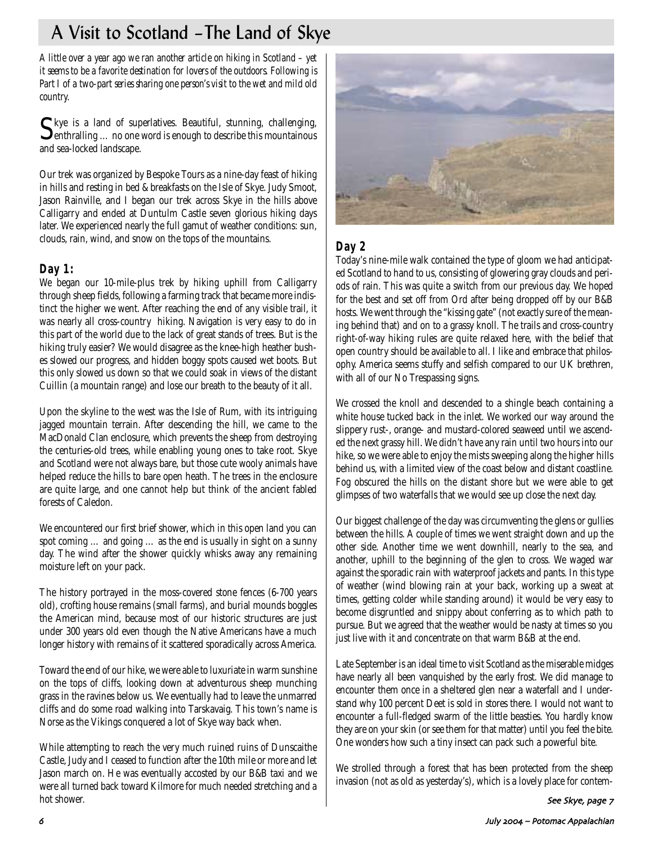# A Visit to Scotland –The Land of Skye

*A little over a year ago we ran another article on hiking in Scotland – yet it seems to be a favorite destination for lovers of the outdoors. Following is Part I of a two-part series sharing one person's visit to the wet and mild old country.* 

Skye is a land of superlatives. Beautiful, stunning, challenging, enthralling ... no one word is enough to describe this mountainous and sea-locked landscape.

Our trek was organized by Bespoke Tours as a nine-day feast of hiking in hills and resting in bed & breakfasts on the Isle of Skye. Judy Smoot, Jason Rainville, and I began our trek across Skye in the hills above Calligarry and ended at Duntulm Castle seven glorious hiking days later. We experienced nearly the full gamut of weather conditions: sun, clouds, rain, wind, and snow on the tops of the mountains.

# **Day 1:**

We began our 10-mile-plus trek by hiking uphill from Calligarry through sheep fields, following a farming track that became more indistinct the higher we went. After reaching the end of any visible trail, it was nearly all cross-country hiking. Navigation is very easy to do in this part of the world due to the lack of great stands of trees. But is the hiking truly easier? We would disagree as the knee-high heather bushes slowed our progress, and hidden boggy spots caused wet boots. But this only slowed us down so that we could soak in views of the distant Cuillin (a mountain range) and lose our breath to the beauty of it all.

Upon the skyline to the west was the Isle of Rum, with its intriguing jagged mountain terrain. After descending the hill, we came to the MacDonald Clan enclosure, which prevents the sheep from destroying the centuries-old trees, while enabling young ones to take root. Skye and Scotland were not always bare, but those cute wooly animals have helped reduce the hills to bare open heath. The trees in the enclosure are quite large, and one cannot help but think of the ancient fabled forests of Caledon.

We encountered our first brief shower, which in this open land you can spot coming … and going … as the end is usually in sight on a sunny day. The wind after the shower quickly whisks away any remaining moisture left on your pack.

The history portrayed in the moss-covered stone fences (6-700 years old), crofting house remains (small farms), and burial mounds boggles the American mind, because most of our historic structures are just under 300 years old even though the Native Americans have a much longer history with remains of it scattered sporadically across America.

Toward the end of our hike, we were able to luxuriate in warm sunshine on the tops of cliffs, looking down at adventurous sheep munching grass in the ravines below us. We eventually had to leave the unmarred cliffs and do some road walking into Tarskavaig. This town's name is Norse as the Vikings conquered a lot of Skye way back when.

While attempting to reach the very much ruined ruins of Dunscaithe Castle, Judy and I ceased to function after the 10th mile or more and let Jason march on. He was eventually accosted by our B&B taxi and we were all turned back toward Kilmore for much needed stretching and a hot shower.



# **Day 2**

Today's nine-mile walk contained the type of gloom we had anticipated Scotland to hand to us, consisting of glowering gray clouds and periods of rain. This was quite a switch from our previous day. We hoped for the best and set off from Ord after being dropped off by our B&B hosts. We went through the "kissing gate" (not exactly sure of the meaning behind that) and on to a grassy knoll. The trails and cross-country right-of-way hiking rules are quite relaxed here, with the belief that open country should be available to all. I like and embrace that philosophy. America seems stuffy and selfish compared to our UK brethren, with all of our No Trespassing signs.

We crossed the knoll and descended to a shingle beach containing a white house tucked back in the inlet. We worked our way around the slippery rust-, orange- and mustard-colored seaweed until we ascended the next grassy hill. We didn't have any rain until two hours into our hike, so we were able to enjoy the mists sweeping along the higher hills behind us, with a limited view of the coast below and distant coastline. Fog obscured the hills on the distant shore but we were able to get glimpses of two waterfalls that we would see up close the next day.

Our biggest challenge of the day was circumventing the glens or gullies between the hills. A couple of times we went straight down and up the other side. Another time we went downhill, nearly to the sea, and another, uphill to the beginning of the glen to cross. We waged war against the sporadic rain with waterproof jackets and pants. In this type of weather (wind blowing rain at your back, working up a sweat at times, getting colder while standing around) it would be very easy to become disgruntled and snippy about conferring as to which path to pursue. But we agreed that the weather would be nasty at times so you just live with it and concentrate on that warm B&B at the end.

Late September is an ideal time to visit Scotland as the miserable midges have nearly all been vanquished by the early frost. We did manage to encounter them once in a sheltered glen near a waterfall and I understand why 100 percent Deet is sold in stores there. I would not want to encounter a full-fledged swarm of the little beasties. You hardly know they are on your skin (or see them for that matter) until you feel the bite. One wonders how such a tiny insect can pack such a powerful bite.

We strolled through a forest that has been protected from the sheep invasion (not as old as yesterday's), which is a lovely place for contem-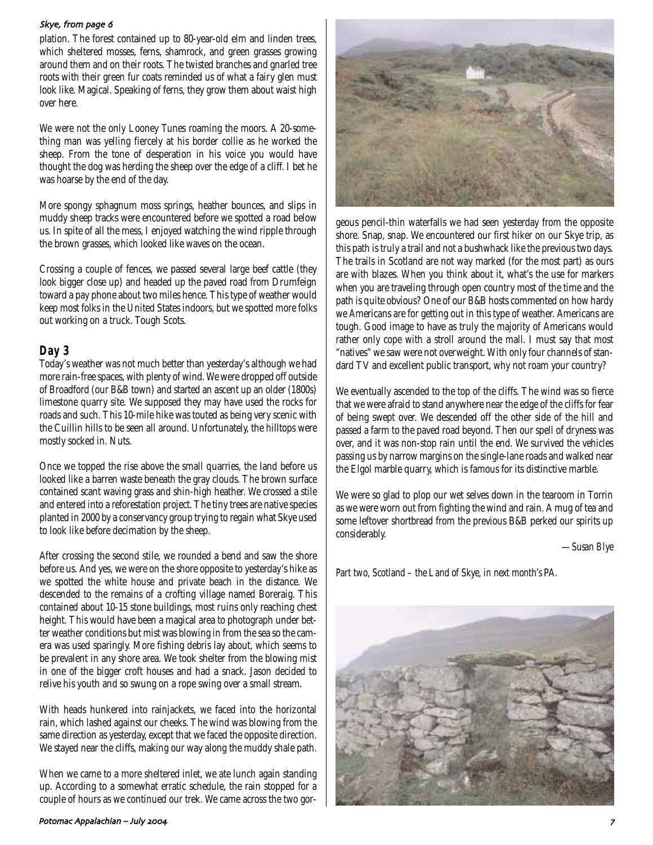## Skye, from page 6

plation. The forest contained up to 80-year-old elm and linden trees, which sheltered mosses, ferns, shamrock, and green grasses growing around them and on their roots. The twisted branches and gnarled tree roots with their green fur coats reminded us of what a fairy glen must look like. Magical. Speaking of ferns, they grow them about waist high over here.

We were not the only Looney Tunes roaming the moors. A 20-something man was yelling fiercely at his border collie as he worked the sheep. From the tone of desperation in his voice you would have thought the dog was herding the sheep over the edge of a cliff. I bet he was hoarse by the end of the day.

More spongy sphagnum moss springs, heather bounces, and slips in muddy sheep tracks were encountered before we spotted a road below us. In spite of all the mess, I enjoyed watching the wind ripple through the brown grasses, which looked like waves on the ocean.

Crossing a couple of fences, we passed several large beef cattle (they look bigger close up) and headed up the paved road from Drumfeign toward a pay phone about two miles hence. This type of weather would keep most folks in the United States indoors, but we spotted more folks out working on a truck. Tough Scots.

## **Day 3**

Today's weather was not much better than yesterday's although we had more rain-free spaces, with plenty of wind. We were dropped off outside of Broadford (our B&B town) and started an ascent up an older (1800s) limestone quarry site. We supposed they may have used the rocks for roads and such. This 10-mile hike was touted as being very scenic with the Cuillin hills to be seen all around. Unfortunately, the hilltops were mostly socked in. Nuts.

Once we topped the rise above the small quarries, the land before us looked like a barren waste beneath the gray clouds. The brown surface contained scant waving grass and shin-high heather. We crossed a stile and entered into a reforestation project. The tiny trees are native species planted in 2000 by a conservancy group trying to regain what Skye used to look like before decimation by the sheep.

After crossing the second stile, we rounded a bend and saw the shore before us. And yes, we were on the shore opposite to yesterday's hike as we spotted the white house and private beach in the distance. We descended to the remains of a crofting village named Boreraig. This contained about 10-15 stone buildings, most ruins only reaching chest height. This would have been a magical area to photograph under better weather conditions but mist was blowing in from the sea so the camera was used sparingly. More fishing debris lay about, which seems to be prevalent in any shore area. We took shelter from the blowing mist in one of the bigger croft houses and had a snack. Jason decided to relive his youth and so swung on a rope swing over a small stream.

With heads hunkered into rainjackets, we faced into the horizontal rain, which lashed against our cheeks. The wind was blowing from the same direction as yesterday, except that we faced the opposite direction. We stayed near the cliffs, making our way along the muddy shale path.

When we came to a more sheltered inlet, we ate lunch again standing up. According to a somewhat erratic schedule, the rain stopped for a couple of hours as we continued our trek. We came across the two gor-



geous pencil-thin waterfalls we had seen yesterday from the opposite shore. Snap, snap. We encountered our first hiker on our Skye trip, as this path is truly a trail and not a bushwhack like the previous two days. The trails in Scotland are not way marked (for the most part) as ours are with blazes. When you think about it, what's the use for markers when you are traveling through open country most of the time and the path is quite obvious? One of our B&B hosts commented on how hardy we Americans are for getting out in this type of weather. Americans are tough. Good image to have as truly the majority of Americans would rather only cope with a stroll around the mall. I must say that most "natives" we saw were not overweight. With only four channels of standard TV and excellent public transport, why not roam your country?

We eventually ascended to the top of the cliffs. The wind was so fierce that we were afraid to stand anywhere near the edge of the cliffs for fear of being swept over. We descended off the other side of the hill and passed a farm to the paved road beyond. Then our spell of dryness was over, and it was non-stop rain until the end. We survived the vehicles passing us by narrow margins on the single-lane roads and walked near the Elgol marble quarry, which is famous for its distinctive marble.

We were so glad to plop our wet selves down in the tearoom in Torrin as we were worn out from fighting the wind and rain. A mug of tea and some leftover shortbread from the previous B&B perked our spirits up considerably.

*—Susan Blye*

*Part two, Scotland – the Land of Skye, in next month's* PA*.*

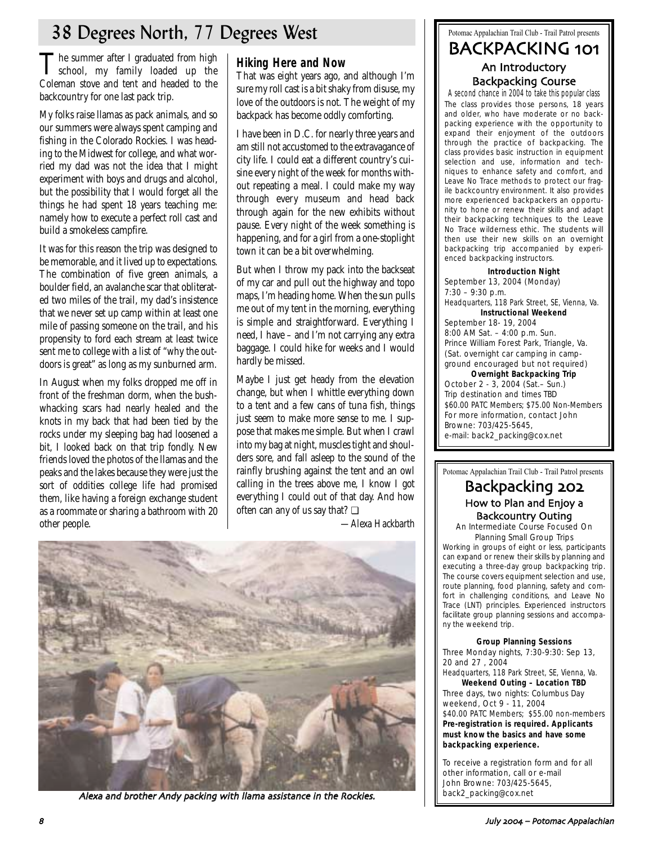# 38 Degrees North, 77 Degrees West

The summer after I graduated from high<br>school, my family loaded up the Coleman stove and tent and headed to the backcountry for one last pack trip.

My folks raise llamas as pack animals, and so our summers were always spent camping and fishing in the Colorado Rockies. I was heading to the Midwest for college, and what worried my dad was not the idea that I might experiment with boys and drugs and alcohol, but the possibility that I would forget all the things he had spent 18 years teaching me: namely how to execute a perfect roll cast and build a smokeless campfire.

It was for this reason the trip was designed to be memorable, and it lived up to expectations. The combination of five green animals, a boulder field, an avalanche scar that obliterated two miles of the trail, my dad's insistence that we never set up camp within at least one mile of passing someone on the trail, and his propensity to ford each stream at least twice sent me to college with a list of "why the outdoors is great" as long as my sunburned arm.

In August when my folks dropped me off in front of the freshman dorm, when the bushwhacking scars had nearly healed and the knots in my back that had been tied by the rocks under my sleeping bag had loosened a bit, I looked back on that trip fondly. New friends loved the photos of the llamas and the peaks and the lakes because they were just the sort of oddities college life had promised them, like having a foreign exchange student as a roommate or sharing a bathroom with 20 other people.

# **Hiking Here and Now**

That was eight years ago, and although I'm sure my roll cast is a bit shaky from disuse, my love of the outdoors is not. The weight of my backpack has become oddly comforting.

I have been in D.C. for nearly three years and am still not accustomed to the extravagance of city life. I could eat a different country's cuisine every night of the week for months without repeating a meal. I could make my way through every museum and head back through again for the new exhibits without pause. Every night of the week something is happening, and for a girl from a one-stoplight town it can be a bit overwhelming.

But when I throw my pack into the backseat of my car and pull out the highway and topo maps, I'm heading home. When the sun pulls me out of my tent in the morning, everything is simple and straightforward. Everything I need, I have – and I'm not carrying any extra baggage. I could hike for weeks and I would hardly be missed.

Maybe I just get heady from the elevation change, but when I whittle everything down to a tent and a few cans of tuna fish, things just seem to make more sense to me. I suppose that makes me simple. But when I crawl into my bag at night, muscles tight and shoulders sore, and fall asleep to the sound of the rainfly brushing against the tent and an owl calling in the trees above me, I know I got everything I could out of that day. And how often can any of us say that? ❏

*—Alexa Hackbarth*



A lexa and brother Andy packing with llama assistance in the Rockies.  $\|\cdot\|$  back2\_packing @cox.net

# Potomac Appalachian Trail Club - Trail Patrol presents BACKPACKING 101 An Introductory Backpacking Course

A second chance in 2004 to take this popular class The class provides those persons, 18 years and older, who have moderate or no backpacking experience with the opportunity to expand their enjoyment of the outdoors through the practice of backpacking. The class provides basic instruction in equipment selection and use, information and techniques to enhance safety and comfort, and Leave No Trace methods to protect our fragile backcountry environment. It also provides more experienced backpackers an opportunity to hone or renew their skills and adapt their backpacking techniques to the Leave No Trace wilderness ethic. The students will then use their new skills on an overnight backpacking trip accompanied by experienced backpacking instructors.

## **Introduction Night** September 13, 2004 (Monday) 7:30 – 9:30 p.m. Headquarters, 118 Park Street, SE, Vienna, Va. **Instructional Weekend** September 18- 19, 2004 8:00 AM Sat. – 4:00 p.m. Sun. Prince William Forest Park, Triangle, Va. (Sat. overnight car camping in campground encouraged but not required) **Overnight Backpacking Trip** October 2 - 3, 2004 (Sat.– Sun.)

Trip destination and times TBD \$60.00 PATC Members; \$75.00 Non-Members For more information, contact John Browne: 703/425-5645, e-mail: back2\_packing@cox.net

## Potomac Appalachian Trail Club - Trail Patrol presents

# Backpacking How to Plan and Enjoy a Backcountry Outing

An Intermediate Course Focused On Planning Small Group Trips

Working in groups of eight or less, participants can expand or renew their skills by planning and executing a three-day group backpacking trip. The course covers equipment selection and use, route planning, food planning, safety and comfort in challenging conditions, and Leave No Trace (LNT) principles. Experienced instructors facilitate group planning sessions and accompany the weekend trip.

### **Group Planning Sessions**

Three Monday nights, 7:30-9:30: Sep 13, 20 and 27 , 2004

Headquarters, 118 Park Street, SE, Vienna, Va. **Weekend Outing – Location TBD**

Three days, two nights: Columbus Day weekend, Oct 9 - 11, 2004 \$40.00 PATC Members; \$55.00 non-members **Pre-registration is required. Applicants must know the basics and have some backpacking experience.** 

To receive a registration form and for all other information, call or e-mail John Browne: 703/425-5645,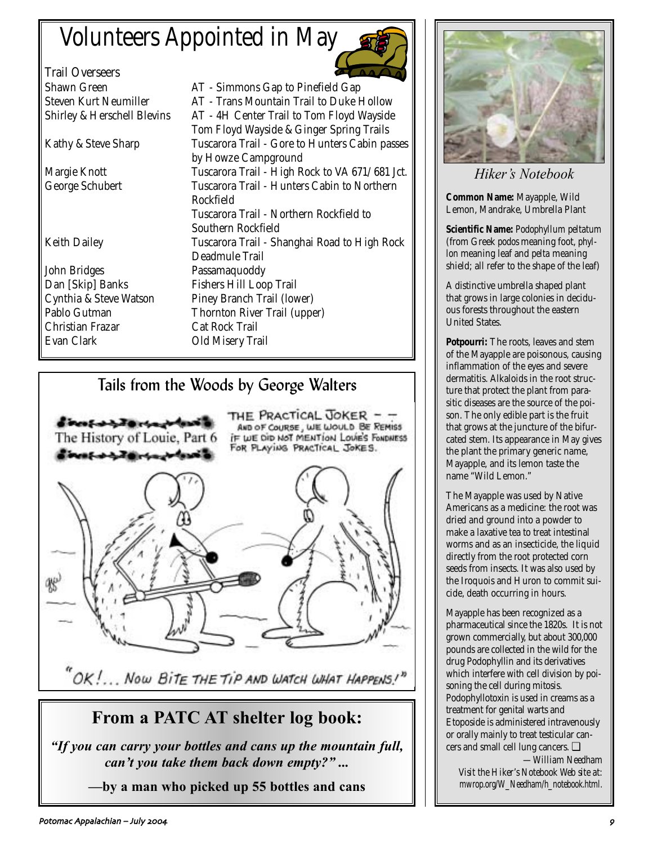# Volunteers Appointed in May

Trail Overseers

John Bridges Passamaquoddy Dan [Skip] Banks Fishers Hill Loop Trail Christian Frazar Cat Rock Trail

Shawn Green **AT** - Simmons Gap to Pinefield Gap Steven Kurt Neumiller AT - Trans Mountain Trail to Duke Hollow Shirley & Herschell Blevins AT - 4H Center Trail to Tom Floyd Wayside Tom Floyd Wayside & Ginger Spring Trails Kathy & Steve Sharp Tuscarora Trail - Gore to Hunters Cabin passes by Howze Campground Margie Knott Tuscarora Trail - High Rock to VA 671/681 Jct. George Schubert Tuscarora Trail - Hunters Cabin to Northern Rockfield Tuscarora Trail - Northern Rockfield to Southern Rockfield Keith Dailey Tuscarora Trail - Shanghai Road to High Rock Deadmule Trail Cynthia & Steve Watson Piney Branch Trail (lower) Pablo Gutman Thornton River Trail (upper) Old Misery Trail

# Tails from the Woods by George Walters



 $^{\prime\prime}$ OK!... Now Bite the Tip and watch what Happens!"

# **From a PATC AT shelter log book:**

*"If you can carry your bottles and cans up the mountain full, can't you take them back down empty?" ...* 

**—by a man who picked up 55 bottles and cans**



*Hiker's Notebook*

**Common Name:** Mayapple, Wild Lemon, Mandrake, Umbrella Plant

**Scientific Name:** *Podophyllum peltatum* (from Greek *podos* meaning foot, *phyllon* meaning leaf and *pelta* meaning shield; all refer to the shape of the leaf)

A distinctive umbrella shaped plant that grows in large colonies in deciduous forests throughout the eastern United States.

**Potpourri:** The roots, leaves and stem of the Mayapple are poisonous, causing inflammation of the eyes and severe dermatitis. Alkaloids in the root structure that protect the plant from parasitic diseases are the source of the poison. The only edible part is the fruit that grows at the juncture of the bifurcated stem. Its appearance in May gives the plant the primary generic name, Mayapple, and its lemon taste the name "Wild Lemon."

The Mayapple was used by Native Americans as a medicine: the root was dried and ground into a powder to make a laxative tea to treat intestinal worms and as an insecticide, the liquid directly from the root protected corn seeds from insects. It was also used by the Iroquois and Huron to commit suicide, death occurring in hours.

Mayapple has been recognized as a pharmaceutical since the 1820s. It is not grown commercially, but about 300,000 pounds are collected in the wild for the drug Podophyllin and its derivatives which interfere with cell division by poisoning the cell during mitosis. Podophyllotoxin is used in creams as a treatment for genital warts and Etoposide is administered intravenously or orally mainly to treat testicular cancers and small cell lung cancers. ❏

*—William Needham Visit the Hiker's Notebook Web site at: mwrop.org/W\_Needham/h\_notebook.html.*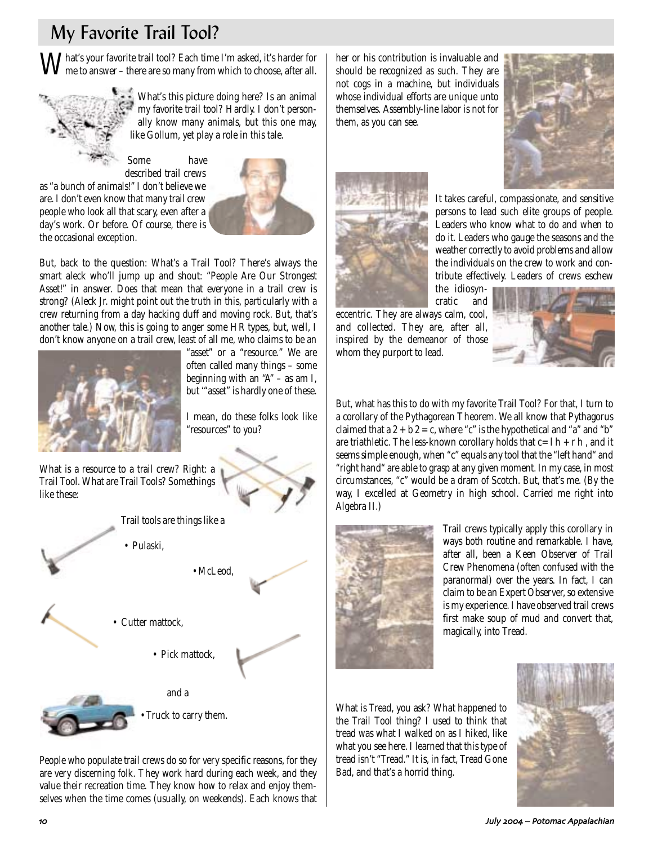# My Favorite Trail Tool?

What's your favorite trail tool? Each time I'm asked, it's harder for me to answer – there are so many from which to choose, after all.



What's this picture doing here? Is an animal my favorite trail tool? Hardly. I don't personally know many animals, but this one may, like Gollum, yet play a role in this tale.

Some have described trail crews as "a bunch of animals!" I don't believe we are. I don't even know that many trail crew people who look all that scary, even after a day's work. Or before. Of course, there is the occasional exception.



But, back to the question: What's a Trail Tool? There's always the smart aleck who'll jump up and shout: "People Are Our Strongest Asset!" in answer. Does that mean that everyone in a trail crew is strong? (Aleck Jr. might point out the truth in this, particularly with a crew returning from a day hacking duff and moving rock. But, that's another tale.) Now, this is going to anger some HR types, but, well, I don't know anyone on a trail crew, least of all me, who claims to be an



"asset" or a "resource." We are often called many things – some beginning with an  $A'' - a s$  am I, but '"asset" is hardly one of these.

I mean, do these folks look like "resources" to you?

What is a resource to a trail crew? Right: a Trail Tool. What are Trail Tools? Somethings like these:



•McLeod,





• Cutter mattock.

• Pulaski,

• Pick mattock,



•Truck to carry them.

People who populate trail crews do so for very specific reasons, for they are very discerning folk. They work hard during each week, and they value their recreation time. They know how to relax and enjoy themselves when the time comes (usually, on weekends). Each knows that her or his contribution is invaluable and should be recognized as such. They are not cogs in a machine, but individuals whose individual efforts are unique unto themselves. Assembly-line labor is not for them, as you can see.





It takes careful, compassionate, and sensitive persons to lead such elite groups of people. Leaders who know what to do and when to do it. Leaders who gauge the seasons and the weather correctly to avoid problems and allow the individuals on the crew to work and contribute effectively. Leaders of crews eschew

the idiosyncratic and

eccentric. They are always calm, cool, and collected. They are, after all, inspired by the demeanor of those whom they purport to lead.



But, what has this to do with my favorite Trail Tool? For that, I turn to a corollary of the Pythagorean Theorem. We all know that Pythagorus claimed that a  $2 + b$   $2 = c$ , where "c" is the hypothetical and "a" and "b" are triathletic. The less-known corollary holds that  $c=l h + r h$ , and it seems simple enough, when "c" equals any tool that the "left hand" and "right hand" are able to grasp at any given moment. In my case, in most circumstances, "c" would be a dram of Scotch. But, that's me. (By the way, I excelled at Geometry in high school. Carried me right into Algebra II.)



Trail crews typically apply this corollary in ways both routine and remarkable. I have, after all, been a Keen Observer of Trail Crew Phenomena (often confused with the paranormal) over the years. In fact, I can claim to be an Expert Observer, so extensive is my experience. I have observed trail crews first make soup of mud and convert that, magically, into Tread.

What is Tread, you ask? What happened to the Trail Tool thing? I used to think that tread was what I walked on as I hiked, like what you see here. I learned that this type of tread isn't "Tread." It is, in fact, Tread Gone Bad, and that's a horrid thing.

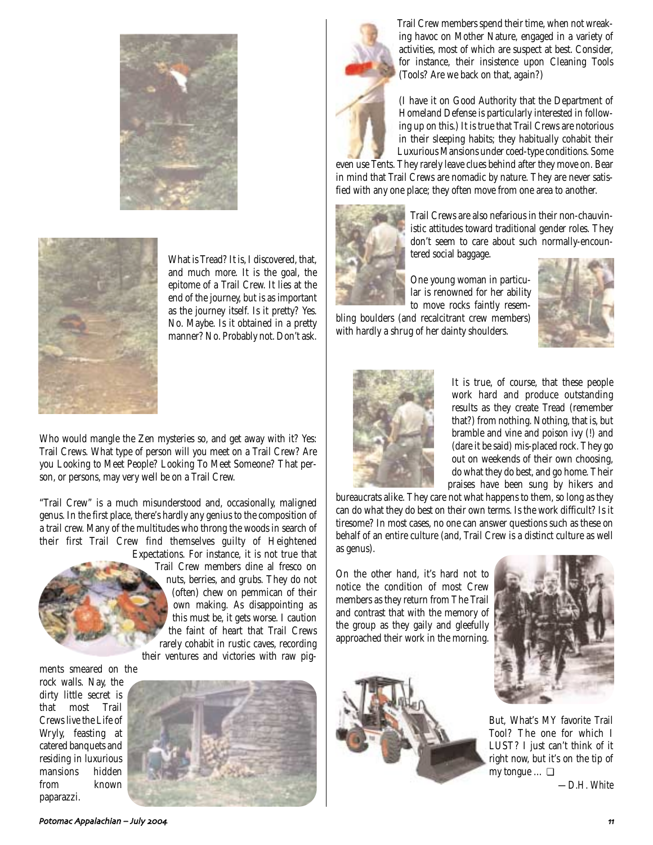



What is Tread? It is, I discovered, that, and much more. It is the goal, the epitome of a Trail Crew. It lies at the end of the journey, but is as important as the journey itself. Is it pretty? Yes. No. Maybe. Is it obtained in a pretty manner? No. Probably not. Don't ask.

Who would mangle the Zen mysteries so, and get away with it? Yes: Trail Crews. What type of person will you meet on a Trail Crew? Are you Looking to Meet People? Looking To Meet Someone? That person, or persons, may very well be on a Trail Crew.

"Trail Crew" is a much misunderstood and, occasionally, maligned genus. In the first place, there's hardly any genius to the composition of a trail crew. Many of the multitudes who throng the woods in search of their first Trail Crew find themselves guilty of Heightened



Expectations. For instance, it is not true that Trail Crew members dine al fresco on nuts, berries, and grubs. They do not (often) chew on pemmican of their own making. As disappointing as this must be, it gets worse. I caution the faint of heart that Trail Crews rarely cohabit in rustic caves, recording their ventures and victories with raw pig-

ments smeared on the rock walls. Nay, the dirty little secret is that most Trail Crews live the Life of Wryly, feasting at catered banquets and residing in luxurious mansions hidden from known

paparazzi.





Trail Crew members spend their time, when not wreaking havoc on Mother Nature, engaged in a variety of activities, most of which are suspect at best. Consider, for instance, their insistence upon Cleaning Tools (Tools? Are we back on that, again?)

(I have it on Good Authority that the Department of Homeland Defense is particularly interested in following up on this.) It is true that Trail Crews are notorious in their sleeping habits; they habitually cohabit their Luxurious Mansions under coed-type conditions. Some

even use Tents. They rarely leave clues behind after they move on. Bear in mind that Trail Crews are nomadic by nature. They are never satisfied with any one place; they often move from one area to another.



Trail Crews are also nefarious in their non-chauvinistic attitudes toward traditional gender roles. They don't seem to care about such normally-encountered social baggage.

One young woman in particular is renowned for her ability to move rocks faintly resem-

bling boulders (and recalcitrant crew members) with hardly a shrug of her dainty shoulders.





It is true, of course, that these people work hard and produce outstanding results as they create Tread (remember that?) from nothing. Nothing, that is, but bramble and vine and poison ivy (!) and (dare it be said) mis-placed rock. They go out on weekends of their own choosing, do what they do best, and go home. Their praises have been sung by hikers and

bureaucrats alike. They care not what happens to them, so long as they can do what they do best on their own terms. Is the work difficult? Is it tiresome? In most cases, no one can answer questions such as these on behalf of an entire culture (and, Trail Crew is a distinct culture as well as genus).

On the other hand, it's hard not to notice the condition of most Crew members as they return from The Trail and contrast that with the memory of the group as they gaily and gleefully approached their work in the morning.





But, What's MY favorite Trail Tool? The one for which I LUST? I just can't think of it right now, but it's on the tip of my tongue … ❏

*—D.H. White*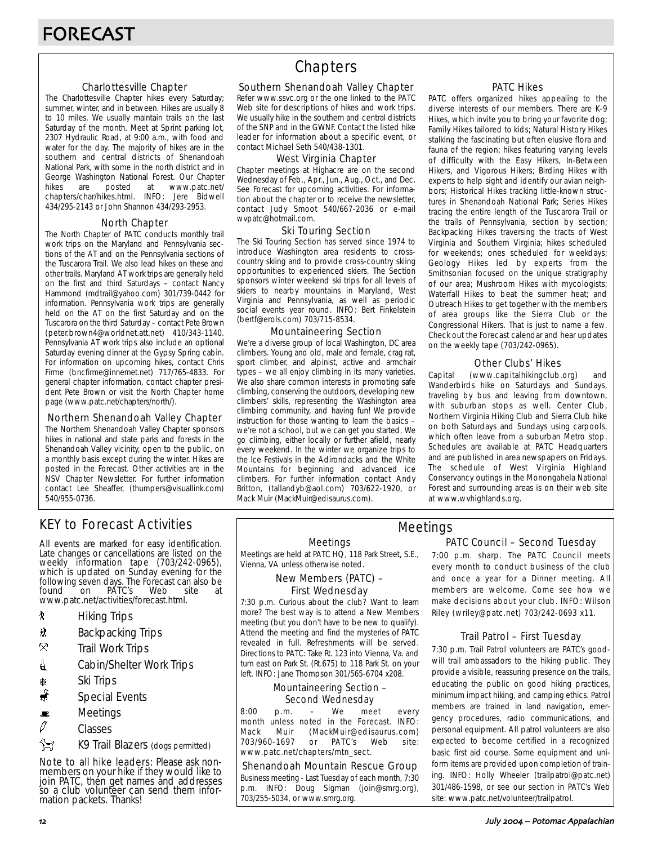## Charlottesville Chapter

The Charlottesville Chapter hikes every Saturday; summer, winter, and in between. Hikes are usually 8 to 10 miles. We usually maintain trails on the last Saturday of the month. Meet at Sprint parking lot, 2307 Hydraulic Road, at 9:00 a.m., with food and water for the day. The majority of hikes are in the southern and central districts of Shenandoah National Park, with some in the north district and in George Washington National Forest. Our Chapter<br>hikes are posted at www.patc.net/ hikes are posted at www.patc.net/ chapters/char/hikes.html. INFO: Jere Bidwell 434/295-2143 or John Shannon 434/293-2953.

## North Chapter

The North Chapter of PATC conducts monthly trail work trips on the Maryland and Pennsylvania sections of the AT and on the Pennsylvania sections of the Tuscarora Trail. We also lead hikes on these and other trails. Maryland AT work trips are generally held on the first and third Saturdays – contact Nancy Hammond (mdtrail@yahoo.com) 301/739-0442 for information. Pennsylvania work trips are generally held on the AT on the first Saturday and on the Tuscarora on the third Saturday – contact Pete Brown (peter.brown4@worldnet.att.net) 410/343-1140. Pennsylvania AT work trips also include an optional Saturday evening dinner at the Gypsy Spring cabin. For information on upcoming hikes, contact Chris Firme (bncfirme@innernet.net) 717/765-4833. For general chapter information, contact chapter president Pete Brown or visit the North Chapter home page (www.patc.net/chapters/north/).

## Northern Shenandoah Valley Chapter

The Northern Shenandoah Valley Chapter sponsors hikes in national and state parks and forests in the Shenandoah Valley vicinity, open to the public, on a monthly basis except during the winter. Hikes are posted in the Forecast. Other activities are in the NSV Chapter Newsletter. For further information contact Lee Sheaffer, (thumpers@visuallink.com) 540/955-0736.

# **Chapters**

## Southern Shenandoah Valley Chapter

Refer www.ssvc.org or the one linked to the PATC Web site for descriptions of hikes and work trips. We usually hike in the southern and central districts of the SNP and in the GWNF. Contact the listed hike leader for information about a specific event, or contact Michael Seth 540/438-1301.

## West Virginia Chapter

Chapter meetings at Highacre are on the second Wednesday of Feb., Apr., Jun., Aug., Oct., and Dec. See Forecast for upcoming activities. For information about the chapter or to receive the newsletter, contact Judy Smoot 540/667-2036 or e-mail wvpatc@hotmail.com.

## Ski Touring Section

The Ski Touring Section has served since 1974 to introduce Washington area residents to crosscountry skiing and to provide cross-country skiing opportunities to experienced skiers. The Section sponsors winter weekend ski trips for all levels of skiers to nearby mountains in Maryland, West Virginia and Pennsylvania, as well as periodic social events year round. INFO: Bert Finkelstein (bertf@erols.com) 703/715-8534.

## Mountaineering Section

We're a diverse group of local Washington, DC area climbers. Young and old, male and female, crag rat, sport climber, and alpinist, active and armchair types – we all enjoy climbing in its many varieties. We also share common interests in promoting safe climbing, conserving the outdoors, developing new climbers' skills, representing the Washington area climbing community, and having fun! We provide instruction for those wanting to learn the basics – we're not a school, but we can get you started. We go climbing, either locally or further afield, nearly every weekend. In the winter we organize trips to the Ice Festivals in the Adirondacks and the White Mountains for beginning and advanced ice climbers. For further information contact Andy Britton, (tallandyb@aol.com) 703/622-1920, or Mack Muir (MackMuir@edisaurus.com).

## PATC Hikes

PATC offers organized hikes appealing to the diverse interests of our members. There are K-9 Hikes, which invite you to bring your favorite dog; Family Hikes tailored to kids; Natural History Hikes stalking the fascinating but often elusive flora and fauna of the region; hikes featuring varying levels of difficulty with the Easy Hikers, In-Between Hikers, and Vigorous Hikers; Birding Hikes with experts to help sight and identify our avian neighbors; Historical Hikes tracking little-known structures in Shenandoah National Park; Series Hikes tracing the entire length of the Tuscarora Trail or the trails of Pennsylvania, section by section; Backpacking Hikes traversing the tracts of West Virginia and Southern Virginia; hikes scheduled for weekends; ones scheduled for weekdays; Geology Hikes led by experts from the Smithsonian focused on the unique stratigraphy of our area; Mushroom Hikes with mycologists; Waterfall Hikes to beat the summer heat; and Outreach Hikes to get together with the members of area groups like the Sierra Club or the Congressional Hikers. That is just to name a few. Check out the Forecast calendar and hear updates on the weekly tape (703/242-0965).

## Other Clubs' Hikes

Capital (www.capitalhikingclub.org) and Wanderbirds hike on Saturdays and Sundays, traveling by bus and leaving from downtown, with suburban stops as well. Center Club, Northern Virginia Hiking Club and Sierra Club hike on both Saturdays and Sundays using carpools, which often leave from a suburban Metro stop. Schedules are available at PATC Headquarters and are published in area newspapers on Fridays. The schedule of West Virginia Highland Conservancy outings in the Monongahela National Forest and surrounding areas is on their web site at www.wvhighlands.org.

# KEY to Forecast Activities

All events are marked for easy identification. Late changes or cancellations are listed on the weekly information tape (703/242-0965), which is updated on Sunday evening for the following seven days. The Forecast can also be<br>found on PATC's Web site at PÁTC's www.patc.net/activities/forecast.html.

- **\*** Hiking Trips
- \* Backpacking Trips
- $\mathcal{R}$  Trail Work Trips
- **i** Cabin/Shelter Work Trips
- **A** Ski Trips
- Special Events
- $\blacksquare$  Meetings
- $\varnothing$  Classes
- $\frac{2}{3}$  K9 Trail Blazers (dogs permitted)

Note to all hike leaders: Please ask nonmembers on your hike if they would like to join PATC, then get names and addresses so a club volunteer can send them information packets. Thanks!

## Meetings

Meetings are held at PATC HQ, 118 Park Street, S.E., Vienna, VA unless otherwise noted.

## New Members (PATC) – First Wednesday

7:30 p.m. Curious about the club? Want to learn more? The best way is to attend a New Members meeting (but you don't have to be new to qualify). Attend the meeting and find the mysteries of PATC revealed in full. Refreshments will be served. Directions to PATC: Take Rt. 123 into Vienna, Va. and turn east on Park St. (Rt.675) to 118 Park St. on your left. INFO: Jane Thompson 301/565-6704 x208.

## Mountaineering Section – Second Wednesday

8:00 p.m. – We meet every month unless noted in the Forecast. INFO: Mack Muir (MackMuir@edisaurus.com)<br>703/960-1697 or PATC's Web site: 703/960-1697 or PATC's Web site: www.patc.net/chapters/mtn\_sect.

## Shenandoah Mountain Rescue Group

Business meeting - Last Tuesday of each month, 7:30 p.m. INFO: Doug Sigman (join@smrg.org), 703/255-5034, or www.smrg.org.

## PATC Council – Second Tuesday Meetings

7:00 p.m. sharp. The PATC Council meets every month to conduct business of the club and once a year for a Dinner meeting. All members are welcome. Come see how we make decisions about your club. INFO: Wilson Riley (wriley@patc.net) 703/242-0693 x11.

## Trail Patrol – First Tuesday

7:30 p.m. Trail Patrol volunteers are PATC's goodwill trail ambassadors to the hiking public. They provide a visible, reassuring presence on the trails, educating the public on good hiking practices, minimum impact hiking, and camping ethics. Patrol members are trained in land navigation, emergency procedures, radio communications, and personal equipment. All patrol volunteers are also expected to become certified in a recognized basic first aid course. Some equipment and uniform items are provided upon completion of training. INFO: Holly Wheeler (trailpatrol@patc.net) 301/486-1598, or see our section in PATC's Web site: www.patc.net/volunteer/trailpatrol.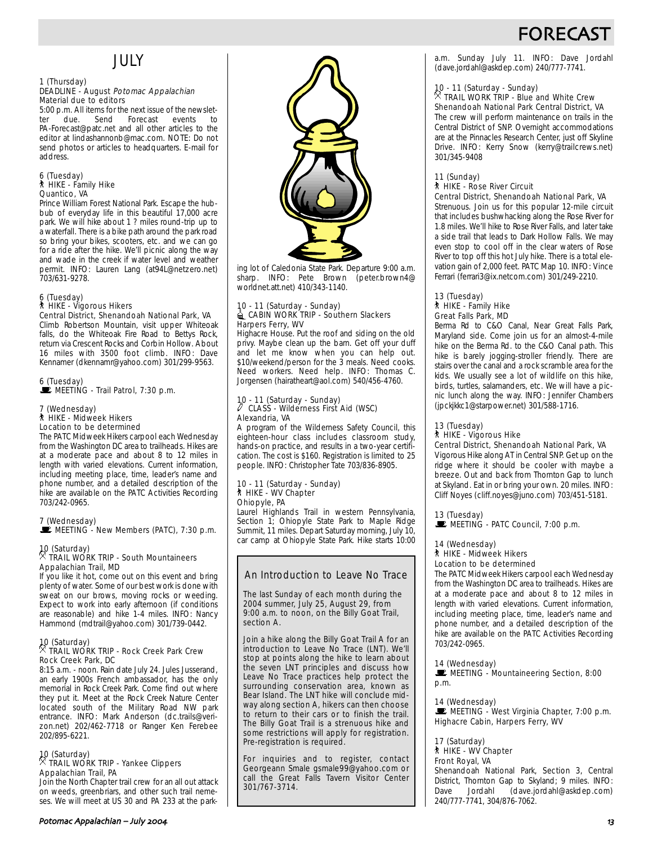# **FORFCA**

# JULY

### 1 (Thursday) DEADLINE - August Potomac Appalachian Material due to editors

5:00 p.m. All items for the next issue of the newslet-<br>ter due. Send Forecast events to ter due. Send Forecast events to PA-Forecast@patc.net and all other articles to the editor at lindashannonb@mac.com. NOTE: Do not send photos or articles to headquarters. E-mail for address.

# 6 (Tuesday) ` HIKE - Family Hike Quantico, VA

Prince William Forest National Park. Escape the hubbub of everyday life in this beautiful 17,000 acre park. We will hike about 1 ? miles round-trip up to a waterfall. There is a bike path around the park road so bring your bikes, scooters, etc. and we can go for a ride after the hike. We'll picnic along the way and wade in the creek if water level and weather permit. INFO: Lauren Lang (at94L@netzero.net) 703/631-9278.

# 6 (Tuesday) ` HIKE - Vigorous Hikers

Central District, Shenandoah National Park, VA Climb Robertson Mountain, visit upper Whiteoak falls, do the Whiteoak Fire Road to Bettys Rock, return via Crescent Rocks and Corbin Hollow. About 16 miles with 3500 foot climb. INFO: Dave Kennamer (dkennamr@yahoo.com) 301/299-9563.

6 (Tuesday) \MEETING - Trail Patrol, 7:30 p.m.

# 7 (Wednesday) ` HIKE - Midweek Hikers Location to be determined

The PATC Midweek Hikers carpool each Wednesday from the Washington DC area to trailheads. Hikes are at a moderate pace and about 8 to 12 miles in length with varied elevations. Current information, including meeting place, time, leader's name and phone number, and a detailed description of the hike are available on the PATC Activities Recording 703/242-0965.

## 7 (Wednesday)  $\mathbf{\dot{E}}$  MEETING - New Members (PATC), 7:30 p.m.

# 10 (Saturday) . TRAIL WORK TRIP - South Mountaineers Appalachian Trail, MD

If you like it hot, come out on this event and bring plenty of water. Some of our best work is done with sweat on our brows, moving rocks or weeding. Expect to work into early afternoon (if conditions are reasonable) and hike 1-4 miles. INFO: Nancy Hammond (mdtrail@yahoo.com) 301/739-0442.

# 10 (Saturday) . TRAIL WORK TRIP - Rock Creek Park Crew Rock Creek Park, DC

8:15 a.m. - noon. Rain date July 24. Jules Jusserand, an early 1900s French ambassador, has the only memorial in Rock Creek Park. Come find out where they put it. Meet at the Rock Creek Nature Center located south of the Military Road NW park entrance. INFO: Mark Anderson (dc.trails@verizon.net) 202/462-7718 or Ranger Ken Ferebee 202/895-6221.

# 10 (Saturday) . TRAIL WORK TRIP - Yankee Clippers Appalachian Trail, PA

Join the North Chapter trail crew for an all out attack on weeds, greenbriars, and other such trail nemeses. We will meet at US 30 and PA 233 at the park-



ing lot of Caledonia State Park. Departure 9:00 a.m. sharp. INFO: Pete Brown (peter.brown4@ worldnet.att.net) 410/343-1140.

### 10 - 11 (Saturday - Sunday) CABIN WORK TRIP - Southern Slackers Harpers Ferry, WV

Highacre House. Put the roof and siding on the old privy. Maybe clean up the barn. Get off your duff and let me know when you can help out. \$10/weekend/person for the 3 meals. Need cooks. Need workers. Need help. INFO: Thomas C. Jorgensen (hairatheart@aol.com) 540/456-4760.

### 10 - 11 (Saturday - Sunday)  $\ell$  CLASS - Wilderness First Aid (WSC) Alexandria, VA

A program of the Wilderness Safety Council, this eighteen-hour class includes classroom study, hands-on practice, and results in a two-year certification. The cost is \$160. Registration is limited to 25 people. INFO: Christopher Tate 703/836-8905.

### 10 - 11 (Saturday - Sunday) ` HIKE - WV Chapter Ohiopyle, PA

Laurel Highlands Trail in western Pennsylvania, Section 1; Ohiopyle State Park to Maple Ridge Summit, 11 miles. Depart Saturday morning, July 10, car camp at Ohiopyle State Park. Hike starts 10:00

## An Introduction to Leave No Trace

The last Sunday of each month during the 2004 summer, July 25, August 29, from 9:00 a.m. to noon, on the Billy Goat Trail, section A.

Join a hike along the Billy Goat Trail A for an introduction to Leave No Trace (LNT). We'll stop at points along the hike to learn about the seven LNT principles and discuss how Leave No Trace practices help protect the surrounding conservation area, known as Bear Island. The LNT hike will conclude midway along section A, hikers can then choose to return to their cars or to finish the trail. The Billy Goat Trail is a strenuous hike and some restrictions will apply for registration. Pre-registration is required.

For inquiries and to register, contact Georgeann Smale gsmale99@yahoo.com or call the Great Falls Tavern Visitor Center 301/767-3714.

a.m. Sunday July 11. INFO: Dave Jordahl (dave.jordahl@askdep.com) 240/777-7741.

# 10 - 11 (Saturday - Sunday) . TRAIL WORK TRIP - Blue and White Crew

Shenandoah National Park Central District, VA The crew will perform maintenance on trails in the Central District of SNP. Overnight accommodations are at the Pinnacles Research Center, just off Skyline Drive. INFO: Kerry Snow (kerry@trailcrews.net) 301/345-9408

## 11 (Sunday)

## ` HIKE - Rose River Circuit

Central District, Shenandoah National Park, VA

Strenuous. Join us for this popular 12-mile circuit that includes bushwhacking along the Rose River for 1.8 miles. We'll hike to Rose River Falls, and later take a side trail that leads to Dark Hollow Falls. We may even stop to cool off in the clear waters of Rose River to top off this hot July hike. There is a total elevation gain of 2,000 feet. PATC Map 10. INFO: Vince Ferrari (ferrari3@ix.netcom.com) 301/249-2210.

### 13 (Tuesday) ` HIKE - Family Hike Great Falls Park, MD

Berma Rd to C&O Canal, Near Great Falls Park, Maryland side. Come join us for an almost-4-mile hike on the Berma Rd. to the C&O Canal path. This hike is barely jogging-stroller friendly. There are stairs over the canal and a rock scramble area for the kids. We usually see a lot of wildlife on this hike, birds, turtles, salamanders, etc. We will have a picnic lunch along the way. INFO: Jennifer Chambers (jpckjkkc1@starpower.net) 301/588-1716.

## 13 (Tuesday)

## ` HIKE - Vigorous Hike

Central District, Shenandoah National Park, VA

Vigorous Hike along AT in Central SNP. Get up on the ridge where it should be cooler with maybe a breeze. Out and back from Thornton Gap to lunch at Skyland. Eat in or bring your own. 20 miles. INFO: Cliff Noyes (cliff.noyes@juno.com) 703/451-5181.

13 (Tuesday)  $\mathbb E$  MEETING - PATC Council, 7:00 p.m.

## 14 (Wednesday)

# ` HIKE - Midweek Hikers

Location to be determined

The PATC Midweek Hikers carpool each Wednesday from the Washington DC area to trailheads. Hikes are at a moderate pace and about 8 to 12 miles in length with varied elevations. Current information, including meeting place, time, leader's name and phone number, and a detailed description of the hike are available on the PATC Activities Recording 703/242-0965.

## 14 (Wednesday)

MEETING - Mountaineering Section, 8:00 p.m.

## 14 (Wednesday)

 $\mathbf{E}$  MEETING - West Virginia Chapter, 7:00 p.m. Highacre Cabin, Harpers Ferry, WV

# 17 (Saturday) ` HIKE - WV Chapter Front Royal, VA

Shenandoah National Park, Section 3, Central District, Thornton Gap to Skyland; 9 miles. INFO:<br>Dave Jordahl (dave.jordahl@askdep.com) Dave Jordahl (dave.jordahl@askdep.com) 240/777-7741, 304/876-7062.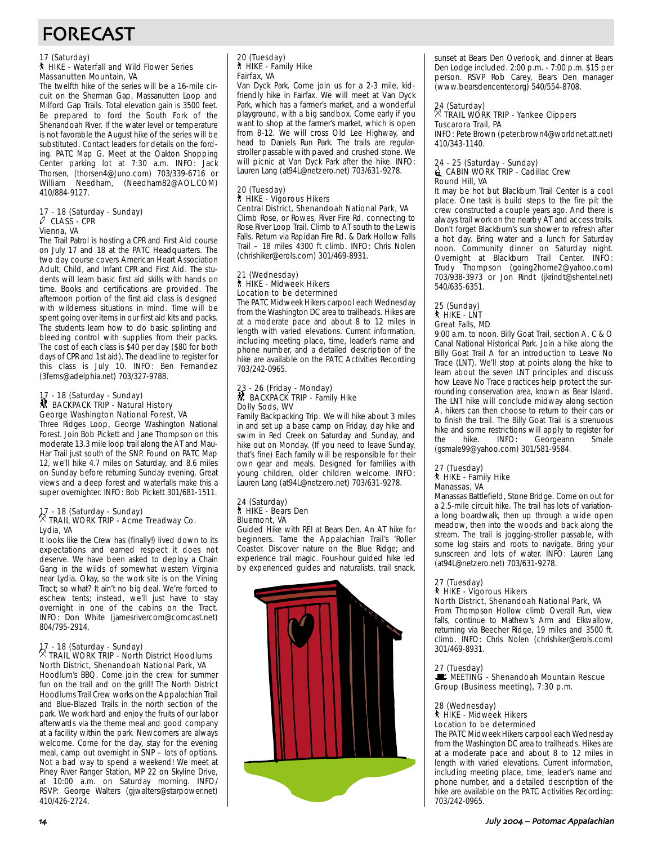# FORECAST

## 17 (Saturday) ` HIKE - Waterfall and Wild Flower Series Massanutten Mountain, VA

The twelfth hike of the series will be a 16-mile circuit on the Sherman Gap, Massanutten Loop and Milford Gap Trails. Total elevation gain is 3500 feet. Be prepared to ford the South Fork of the Shenandoah River. If the water level or temperature is not favorable the August hike of the series will be substituted. Contact leaders for details on the fording. PATC Map G. Meet at the Oakton Shopping Center parking lot at 7:30 a.m. INFO: Jack Thorsen, (thorsen4@Juno.com) 703/339-6716 or William Needham, (Needham82@AOL.COM) 410/884-9127.

# 17 - 18 (Saturday - Sunday) a CLASS - CPR Vienna, VA

The Trail Patrol is hosting a CPR and First Aid course on July 17 and 18 at the PATC Headquarters. The two day course covers American Heart Association Adult, Child, and Infant CPR and First Aid. The students will learn basic first aid skills with hands on time. Books and certifications are provided. The afternoon portion of the first aid class is designed with wilderness situations in mind. Time will be spent going over items in our first aid kits and packs. The students learn how to do basic splinting and bleeding control with supplies from their packs. The cost of each class is \$40 per day (\$80 for both days of CPR and 1st aid). The deadline to register for this class is July 10. INFO: Ben Fernandez (3ferns@adelphia.net) 703/327-9788.

### 17 - 18 (Saturday - Sunday) ~ BACKPACK TRIP - Natural History George Washington National Forest, VA

Three Ridges Loop, George Washington National Forest. Join Bob Pickett and Jane Thompson on this moderate 13.3 mile loop trail along the AT and Mau-Har Trail just south of the SNP. Found on PATC Map 12, we'll hike 4.7 miles on Saturday, and 8.6 miles on Sunday before returning Sunday evening. Great views and a deep forest and waterfalls make this a super overnighter. INFO: Bob Pickett 301/681-1511.

# 17 - 18 (Saturday - Sunday) . TRAIL WORK TRIP - Acme Treadway Co. Lydia, VA

It looks like the Crew has (finally!) lived down to its expectations and earned respect it does not deserve. We have been asked to deploy a Chain Gang in the wilds of somewhat western Virginia near Lydia. Okay, so the work site is on the Vining Tract; so what? It ain't no big deal. We're forced to eschew tents; instead, we'll just have to stay overnight in one of the cabins on the Tract. INFO: Don White (jamesrivercom@comcast.net) 804/795-2914.

# 17 - 18 (Saturday - Sunday) . TRAIL WORK TRIP - North District Hoodlums North District, Shenandoah National Park, VA

Hoodlum's BBQ. Come join the crew for summer fun on the trail and on the grill! The North District Hoodlums Trail Crew works on the Appalachian Trail and Blue-Blazed Trails in the north section of the park. We work hard and enjoy the fruits of our labor afterwards via the theme meal and good company at a facility within the park. Newcomers are always welcome. Come for the day, stay for the evening meal, camp out overnight in SNP – lots of options. Not a bad way to spend a weekend! We meet at Piney River Ranger Station, MP 22 on Skyline Drive, at 10:00 a.m. on Saturday morning. INFO/ RSVP: George Walters (gjwalters@starpower.net) 410/426-2724.

# 20 (Tuesday) ` HIKE - Family Hike Fairfax, VA

Van Dyck Park. Come join us for a 2-3 mile, kidfriendly hike in Fairfax. We will meet at Van Dyck Park, which has a farmer's market, and a wonderful playground, with a big sandbox. Come early if you want to shop at the farmer's market, which is open from 8-12. We will cross Old Lee Highway, and head to Daniels Run Park. The trails are regularstroller passable with paved and crushed stone. We will picnic at Van Dyck Park after the hike. INFO: Lauren Lang (at94L@netzero.net) 703/631-9278.

### 20 (Tuesday) ` HIKE - Vigorous Hikers Central District, Shenandoah National Park, VA

Climb Rose, or Rowes, River Fire Rd. connecting to Rose River Loop Trail. Climb to AT south to the Lewis Falls. Return via Rapidan Fire Rd. & Dark Hollow Falls Trail – 18 miles 4300 ft climb. INFO: Chris Nolen (chrishiker@erols.com) 301/469-8931.

### 21 (Wednesday) ` HIKE - Midweek Hikers Location to be determined

The PATC Midweek Hikers carpool each Wednesday from the Washington DC area to trailheads. Hikes are at a moderate pace and about 8 to 12 miles in length with varied elevations. Current information, including meeting place, time, leader's name and phone number, and a detailed description of the hike are available on the PATC Activities Recording 703/242-0965.

# 23 - 26 (Friday - Monday)<br>M BACKPACK TRIP - Family Hike Dolly Sods, WV

Family Backpacking Trip. We will hike about 3 miles in and set up a base camp on Friday, day hike and swim in Red Creek on Saturday and Sunday, and hike out on Monday. (If you need to leave Sunday, that's fine) Each family will be responsible for their own gear and meals. Designed for families with young children, older children welcome. INFO: Lauren Lang (at94L@netzero.net) 703/631-9278.

### 24 (Saturday) T: (catal aa),<br>∜ HIKE - Bears Den Bluemont, VA

Guided Hike with REI at Bears Den. An AT hike for beginners. Tame the Appalachian Trail's 'Roller Coaster. Discover nature on the Blue Ridge; and experience trail magic. Four-hour guided hike led by experienced guides and naturalists, trail snack,



sunset at Bears Den Overlook, and dinner at Bears Den Lodge included. 2:00 p.m. - 7:00 p.m. \$15 per person. RSVP Rob Carey, Bears Den manager (www.bearsdencenter.org) 540/554-8708.

## 24 (Saturday) . TRAIL WORK TRIP - Yankee Clippers Tuscarora Trail, PA

INFO: Pete Brown (peter.brown4@worldnet.att.net) 410/343-1140.

### 24 - 25 (Saturday - Sunday)  $\triangleq$  CABIN WORK TRIP - Cadillac Crew Round Hill, VA

It may be hot but Blackburn Trail Center is a cool place. One task is build steps to the fire pit the crew constructed a couple years ago. And there is always trail work on the nearby AT and access trails. Don't forget Blackburn's sun shower to refresh after a hot day. Bring water and a lunch for Saturday noon. Community dinner on Saturday night. Overnight at Blackburn Trail Center. INFO: Trudy Thompson (going2home2@yahoo.com) 703/938-3973 or Jon Rindt (jkrindt@shentel.net) 540/635-6351.

### 25 (Sunday) ` HIKE - LNT Great Falls, MD

9:00 a.m. to noon. Billy Goat Trail, section A, C & O Canal National Historical Park. Join a hike along the Billy Goat Trail A for an introduction to Leave No Trace (LNT). We'll stop at points along the hike to learn about the seven LNT principles and discuss how Leave No Trace practices help protect the surrounding conservation area, known as Bear Island. The LNT hike will conclude midway along section A, hikers can then choose to return to their cars or to finish the trail. The Billy Goat Trail is a strenuous hike and some restrictions will apply to register for<br>the hike. INFO: Georgeann Smale Georgeann (gsmale99@yahoo.com) 301/581-9584.

### 27 (Tuesday) ` HIKE - Family Hike Manassas, VA

Manassas Battlefield, Stone Bridge. Come on out for a 2.5-mile circuit hike. The trail has lots of variationa long boardwalk, then up through a wide open meadow, then into the woods and back along the stream. The trail is jogging-stroller passable, with some log stairs and roots to navigate. Bring your sunscreen and lots of water. INFO: Lauren Lang (at94L@netzero.net) 703/631-9278.

# 27 (Tuesday)

# **A** HIKE - Vigorous Hikers

North District, Shenandoah National Park, VA From Thompson Hollow climb Overall Run, view falls, continue to Mathew's Arm and Elkwallow, returning via Beecher Ridge, 19 miles and 3500 ft. climb. INFO: Chris Nolen (chrishiker@erols.com) 301/469-8931.

27 (Tuesday)<br>■ MEETING - Shenandoah Mountain Rescue Group (Business meeting), 7:30 p.m.

### 28 (Wednesday) ` HIKE - Midweek Hikers Location to be determined

The PATC Midweek Hikers carpool each Wednesday from the Washington DC area to trailheads. Hikes are at a moderate pace and about 8 to 12 miles in length with varied elevations. Current information, including meeting place, time, leader's name and phone number, and a detailed description of the hike are available on the PATC Activities Recording: 703/242-0965.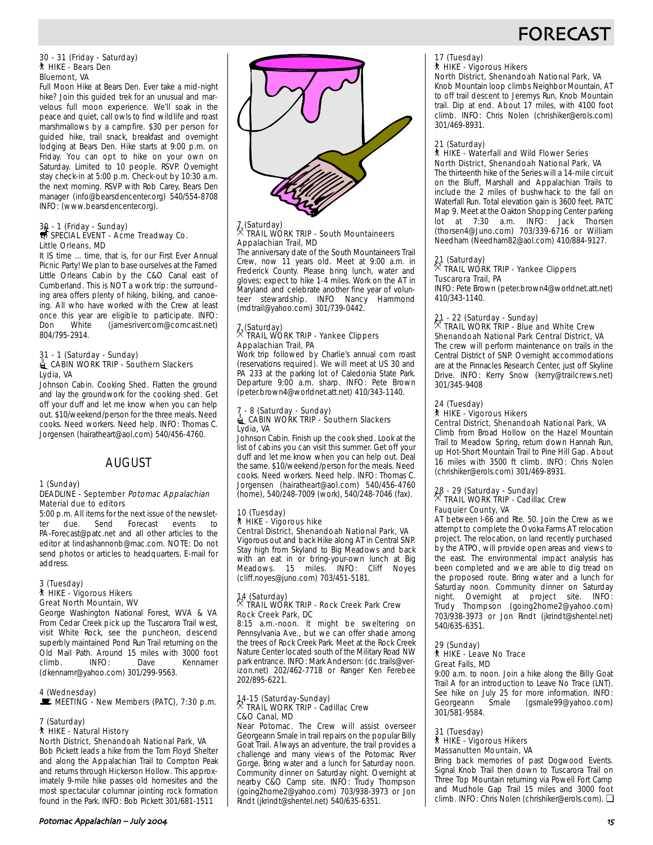# **FORECAS**

### 30 - 31 (Friday - Saturday) ` HIKE - Bears Den Bluemont, VA

Full Moon Hike at Bears Den. Ever take a mid-night hike? Join this guided trek for an unusual and marvelous full moon experience. We'll soak in the peace and quiet, call owls to find wildlife and roast marshmallows by a campfire. \$30 per person for guided hike, trail snack, breakfast and overnight lodging at Bears Den. Hike starts at 9:00 p.m. on Friday. You can opt to hike on your own on Saturday. Limited to 10 people. RSVP. Overnight stay check-in at 5:00 p.m. Check-out by 10:30 a.m. the next morning. RSVP with Rob Carey, Bears Den manager (info@bearsdencenter.org) 540/554-8708 INFO: (www.bearsdencenter.org).

# 30 - 1 (Friday - Sunday)<br>SPECIAL EVENT - Acme Treadway Co. Little Orleans, MD

It IS time ... time, that is, for our First Ever Annual Picnic Party! We plan to base ourselves at the Famed Little Orleans Cabin by the C&O Canal east of Cumberland. This is NOT a work trip: the surrounding area offers plenty of hiking, biking, and canoeing. All who have worked with the Crew at least once this year are eligible to participate. INFO:<br>Don White (jamesrivercom@comcast.net) (jamesrivercom@comcast.net) 804/795-2914.

### 31 - 1 (Saturday - Sunday) **id** CABIN WORK TRIP - Southern Slackers Lydia, VA

Johnson Cabin. Cooking Shed. Flatten the ground and lay the groundwork for the cooking shed. Get off your duff and let me know when you can help out. \$10/weekend/person for the three meals. Need cooks. Need workers. Need help. INFO: Thomas C. Jorgensen (hairatheart@aol.com) 540/456-4760.

# AUGUST

# 1 (Sunday)

## DEADLINE - September Potomac Appalachian Material due to editors

5:00 p.m. All items for the next issue of the newslet-<br>ter due. Send Forecast events to ter due. Send Forecast events to PA-Forecast@patc.net and all other articles to the editor at lindashannonb@mac.com. NOTE: Do not send photos or articles to headquarters. E-mail for address.

## 3 (Tuesday) ` HIKE - Vigorous Hikers Great North Mountain, WV

George Washington National Forest, WVA & VA From Cedar Creek pick up the Tuscarora Trail west, visit White Rock, see the puncheon, descend superbly maintained Pond Run Trail returning on the Old Mail Path. Around 15 miles with 3000 foot Kennamer (dkennamr@yahoo.com) 301/299-9563.

## 4 (Wednesday)

MEETING - New Members (PATC), 7:30 p.m.

## 7 (Saturday)

### ` HIKE - Natural History North District, Shenandoah National Park, VA

Bob Pickett leads a hike from the Tom Floyd Shelter and along the Appalachian Trail to Compton Peak and returns through Hickerson Hollow. This approximately 9-mile hike passes old homesites and the most spectacular columnar jointing rock formation found in the Park. INFO: Bob Pickett 301/681-1511



# 7 (Saturday) . TRAIL WORK TRIP - South Mountaineers Appalachian Trail, MD

The anniversary date of the South Mountaineers Trail Crew, now 11 years old. Meet at 9:00 a.m. in Frederick County. Please bring lunch, water and gloves; expect to hike 1-4 miles. Work on the AT in Maryland and celebrate another fine year of volunteer stewardship. INFO Nancy Hammond (mdtrail@yahoo.com) 301/739-0442.

# 7 (Saturday) . TRAIL WORK TRIP - Yankee Clippers Appalachian Trail, PA

Work trip followed by Charlie's annual corn roast (reservations required). We will meet at US 30 and PA 233 at the parking lot of Caledonia State Park. Departure 9:00 a.m. sharp. INFO: Pete Brown (peter.brown4@worldnet.att.net) 410/343-1140.

# 7 - 8 (Saturday - Sunday)<br>| CABIN WORK TRIP - Southern Slackers Lydia, VA

Johnson Cabin. Finish up the cook shed. Look at the list of cabins you can visit this summer. Get off your duff and let me know when you can help out. Deal the same. \$10/weekend/person for the meals. Need cooks. Need workers. Need help. INFO: Thomas C. Jorgensen (hairatheart@aol.com) 540/456-4760 (home), 540/248-7009 (work), 540/248-7046 (fax).

### 10 (Tuesday) ` HIKE - Vigorous hike Central District, Shenandoah National Park, VA

Vigorous out and back Hike along AT in Central SNP. Stay high from Skyland to Big Meadows and back with an eat in or bring-your-own lunch at Big Meadows. 15 miles. INFO: Cliff Noyes (cliff.noyes@juno.com) 703/451-5181.

## 14 (Saturday) . TRAIL WORK TRIP - Rock Creek Park Crew Rock Creek Park, DC

8:15 a.m.-noon. It might be sweltering on Pennsylvania Ave., but we can offer shade among the trees of Rock Creek Park. Meet at the Rock Creek Nature Center located south of the Military Road NW park entrance. INFO: Mark Anderson: (dc.trails@verizon.net) 202/462-7718 or Ranger Ken Ferebee 202/895-6221.

# 14-15 (Saturday-Sunday) . TRAIL WORK TRIP - Cadillac Crew C&O Canal, MD

Near Potomac. The Crew will assist overseer Georgeann Smale in trail repairs on the popular Billy Goat Trail. Always an adventure, the trail provides a challenge and many views of the Potomac River Gorge. Bring water and a lunch for Saturday noon. Community dinner on Saturday night. Overnight at nearby C&O Camp site. INFO: Trudy Thompson (going2home2@yahoo.com) 703/938-3973 or Jon Rindt (jkrindt@shentel.net) 540/635-6351.

# 17 (Tuesday) ` HIKE - Vigorous Hikers

## North District, Shenandoah National Park, VA

Knob Mountain loop climbs Neighbor Mountain, AT to off trail descent to Jeremys Run, Knob Mountain trail. Dip at end. About 17 miles, with 4100 foot climb. INFO: Chris Nolen (chrishiker@erols.com) 301/469-8931.

## 21 (Saturday)

### ` HIKE - Waterfall and Wild Flower Series North District, Shenandoah National Park, VA

The thirteenth hike of the Series will a 14-mile circuit on the Bluff, Marshall and Appalachian Trails to include the 2 miles of bushwhack to the fall on Waterfall Run. Total elevation gain is 3600 feet. PATC Map 9. Meet at the Oakton Shopping Center parking lot at 7:30 a.m. INFO: Jack Thorsen (thorsen4@Juno.com) 703/339-6716 or William Needham (Needham82@aol.com) 410/884-9127.

# 21 (Saturday) . TRAIL WORK TRIP - Yankee Clippers Tuscarora Trail, PA

INFO: Pete Brown (peter.brown4@worldnet.att.net) 410/343-1140.

# 21 - 22 (Saturday - Sunday) . TRAIL WORK TRIP - Blue and White Crew Shenandoah National Park Central District, VA

The crew will perform maintenance on trails in the Central District of SNP. Overnight accommodations are at the Pinnacles Research Center, just off Skyline Drive. INFO: Kerry Snow (kerry@trailcrews.net) 301/345-9408

## 24 (Tuesday)

## **A** HIKE - Vigorous Hikers

Central District, Shenandoah National Park, VA Climb from Broad Hollow on the Hazel Mountain Trail to Meadow Spring, return down Hannah Run, up Hot-Short Mountain Trail to Pine Hill Gap. About 16 miles with 3500 ft climb. INFO: Chris Nolen (chrishiker@erols.com) 301/469-8931.

# 28 - 29 (Saturday - Sunday) . TRAIL WORK TRIP - Cadillac Crew Fauquier County, VA

AT between I-66 and Rte. 50. Join the Crew as we attempt to complete the Ovoka Farms AT relocation project. The relocation, on land recently purchased by the ATPO, will provide open areas and views to the east. The environmental impact analysis has been completed and we are able to dig tread on the proposed route. Bring water and a lunch for Saturday noon. Community dinner on Saturday night. Overnight at project site. INFO: Trudy Thompson (going2home2@yahoo.com) 703/938-3973 or Jon Rindt (jkrindt@shentel.net) 540/635-6351.

### 29 (Sunday) ` HIKE - Leave No Trace Great Falls, MD

9:00 a.m. to noon. Join a hike along the Billy Goat Trail A for an introduction to Leave No Trace (LNT). See hike on July 25 for more information. INFO:<br>Georgeann Smale (gsmale99@vahoo.com) (gsmale99@yahoo.com) 301/581-9584.

## 31 (Tuesday) **A** HIKE - Vigorous Hikers Massanutten Mountain, VA

Bring back memories of past Dogwood Events. Signal Knob Trail then down to Tuscarora Trail on Three Top Mountain returning via Powell Fort Camp and Mudhole Gap Trail 15 miles and 3000 foot climb. INFO: Chris Nolen (chrishiker@erols.com). ❏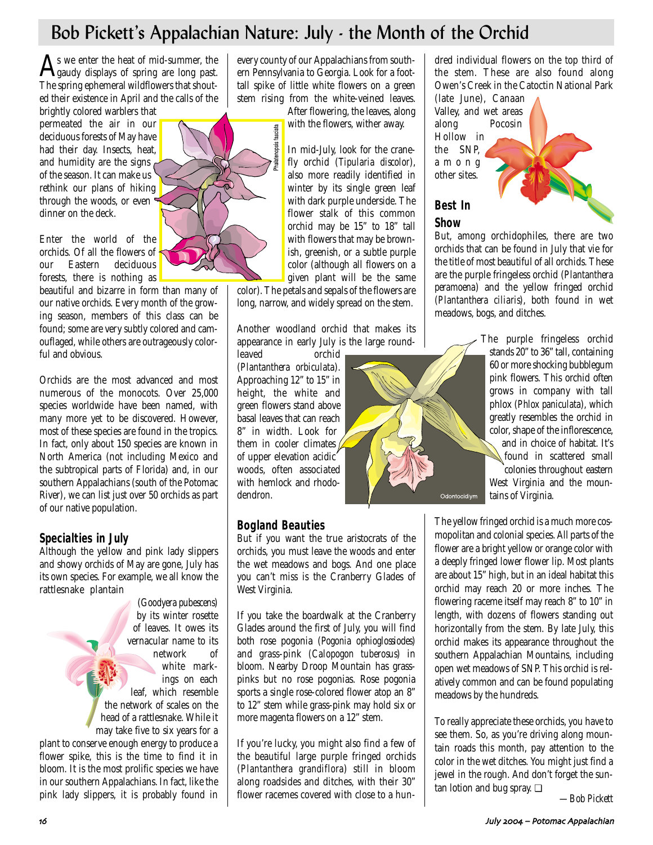# Bob Pickett's Appalachian Nature: July - the Month of the Orchid

As we enter the heat of mid-summer, the<br>gaudy displays of spring are long past. The spring ephemeral wildflowers that shouted their existence in April and the calls of the

brightly colored warblers that permeated the air in our deciduous forests of May have had their day. Insects, heat, and humidity are the signs  $\epsilon$ of the season. It can make us rethink our plans of hiking through the woods, or even dinner on the deck.

Enter the world of the orchids. Of all the flowers of our Eastern deciduous forests, there is nothing as

beautiful and bizarre in form than many of our native orchids. Every month of the growing season, members of this class can be found; some are very subtly colored and camouflaged, while others are outrageously colorful and obvious.

Orchids are the most advanced and most numerous of the monocots. Over 25,000 species worldwide have been named, with many more yet to be discovered. However, most of these species are found in the tropics. In fact, only about 150 species are known in North America (not including Mexico and the subtropical parts of Florida) and, in our southern Appalachians (south of the Potomac River), we can list just over 50 orchids as part of our native population.

# **Specialties in July**

Although the yellow and pink lady slippers and showy orchids of May are gone, July has its own species. For example, we all know the rattlesnake plantain

(*Goodyera pubescens*) by its winter rosette of leaves. It owes its vernacular name to its network of white markings on each leaf, which resemble the network of scales on the head of a rattlesnake. While it may take five to six years for a plant to conserve enough energy to produce a flower spike, this is the time to find it in bloom. It is the most prolific species we have in our southern Appalachians. In fact, like the

pink lady slippers, it is probably found in

every county of our Appalachians from southern Pennsylvania to Georgia. Look for a foottall spike of little white flowers on a green stem rising from the white-veined leaves.

> After flowering, the leaves, along with the flowers, wither away.

In mid-July, look for the cranefly orchid (*Tipularia discolor*), also more readily identified in winter by its single green leaf with dark purple underside. The flower stalk of this common orchid may be 15" to 18" tall with flowers that may be brownish, greenish, or a subtle purple color (although all flowers on a given plant will be the same

color). The petals and sepals of the flowers are long, narrow, and widely spread on the stem.

Another woodland orchid that makes its appearance in early July is the large round-

leaved orchid (*Plantanthera orbiculata*). Approaching 12" to 15" in height, the white and green flowers stand above basal leaves that can reach 8" in width. Look for them in cooler climates  $\sqrt{\frac{1}{2}}$ of upper elevation acidic woods, often associated with hemlock and rhododendron.

# **Bogland Beauties**

But if you want the true aristocrats of the orchids, you must leave the woods and enter the wet meadows and bogs. And one place you can't miss is the Cranberry Glades of West Virginia.

If you take the boardwalk at the Cranberry Glades around the first of July, you will find both rose pogonia (*Pogonia ophioglossiodes*) and grass-pink *(Calopogon tuberosus*) in bloom. Nearby Droop Mountain has grasspinks but no rose pogonias. Rose pogonia sports a single rose-colored flower atop an 8" to 12" stem while grass-pink may hold six or more magenta flowers on a 12" stem.

If you're lucky, you might also find a few of the beautiful large purple fringed orchids (*Plantanthera grandiflora*) still in bloom along roadsides and ditches, with their 30" flower racemes covered with close to a hundred individual flowers on the top third of the stem. These are also found along Owen's Creek in the Catoctin National Park

(late June), Canaan Valley, and wet areas along Pocosin Hollow in the SNP, among other sites.

# **Best In Show**

Odontocidiym

But, among orchidophiles, there are two orchids that can be found in July that vie for the title of most beautiful of all orchids. These are the purple fringeless orchid (*Plantanthera peramoena*) and the yellow fringed orchid (*Plantanthera ciliaris*), both found in wet meadows, bogs, and ditches.

> The purple fringeless orchid stands 20" to 36" tall, containing 60 or more shocking bubblegum pink flowers. This orchid often grows in company with tall phlox (*Phlox paniculata*), which greatly resembles the orchid in color, shape of the inflorescence, and in choice of habitat. It's found in scattered small colonies throughout eastern West Virginia and the mountains of Virginia.

The yellow fringed orchid is a much more cosmopolitan and colonial species. All parts of the flower are a bright yellow or orange color with a deeply fringed lower flower lip. Most plants are about 15" high, but in an ideal habitat this orchid may reach 20 or more inches. The flowering raceme itself may reach 8" to 10" in length, with dozens of flowers standing out horizontally from the stem. By late July, this orchid makes its appearance throughout the southern Appalachian Mountains, including open wet meadows of SNP. This orchid is relatively common and can be found populating meadows by the hundreds.

To really appreciate these orchids, you have to see them. So, as you're driving along mountain roads this month, pay attention to the color in the wet ditches. You might just find a jewel in the rough. And don't forget the suntan lotion and bug spray. ❏

*—Bob Pickett*

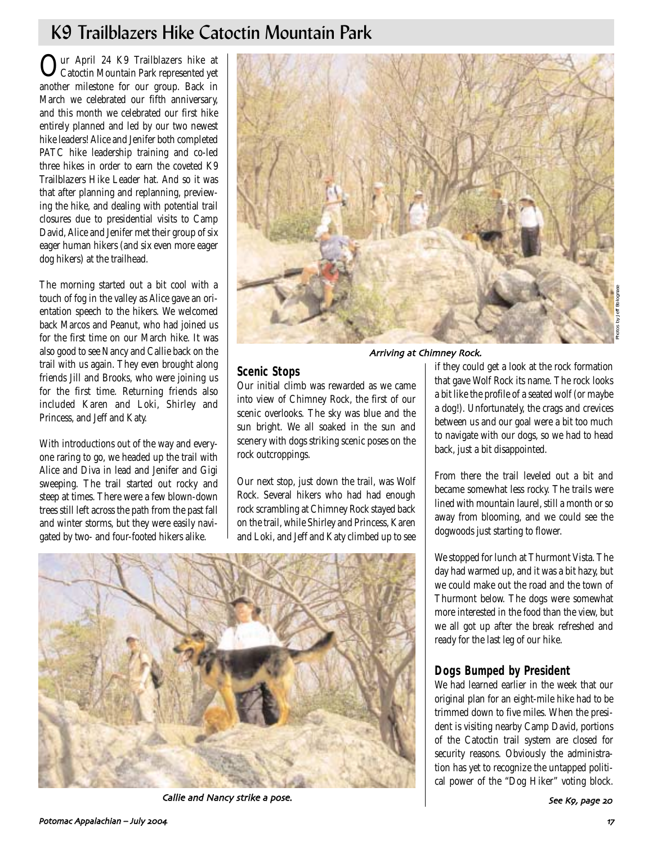# K9 Trailblazers Hike Catoctin Mountain Park

**Our April 24 K9 Trailblazers hike at** Catoctin Mountain Park represented yet another milestone for our group. Back in March we celebrated our fifth anniversary, and this month we celebrated our first hike entirely planned and led by our two newest hike leaders! Alice and Jenifer both completed PATC hike leadership training and co-led three hikes in order to earn the coveted K9 Trailblazers Hike Leader hat. And so it was that after planning and replanning, previewing the hike, and dealing with potential trail closures due to presidential visits to Camp David, Alice and Jenifer met their group of six eager human hikers (and six even more eager dog hikers) at the trailhead.

The morning started out a bit cool with a touch of fog in the valley as Alice gave an orientation speech to the hikers. We welcomed back Marcos and Peanut, who had joined us for the first time on our March hike. It was also good to see Nancy and Callie back on the trail with us again. They even brought along friends Jill and Brooks, who were joining us for the first time. Returning friends also included Karen and Loki, Shirley and Princess, and Jeff and Katy.

With introductions out of the way and everyone raring to go, we headed up the trail with Alice and Diva in lead and Jenifer and Gigi sweeping. The trail started out rocky and steep at times. There were a few blown-down trees still left across the path from the past fall and winter storms, but they were easily navigated by two- and four-footed hikers alike.



## Arriving at Chimney Rock.

## **Scenic Stops**

Our initial climb was rewarded as we came into view of Chimney Rock, the first of our scenic overlooks. The sky was blue and the sun bright. We all soaked in the sun and scenery with dogs striking scenic poses on the rock outcroppings.

Our next stop, just down the trail, was Wolf Rock. Several hikers who had had enough rock scrambling at Chimney Rock stayed back on the trail, while Shirley and Princess, Karen and Loki, and Jeff and Katy climbed up to see

if they could get a look at the rock formation that gave Wolf Rock its name. The rock looks a bit like the profile of a seated wolf (or maybe a dog!). Unfortunately, the crags and crevices between us and our goal were a bit too much to navigate with our dogs, so we had to head back, just a bit disappointed.

From there the trail leveled out a bit and became somewhat less rocky. The trails were lined with mountain laurel, still a month or so away from blooming, and we could see the dogwoods just starting to flower.

We stopped for lunch at Thurmont Vista. The day had warmed up, and it was a bit hazy, but we could make out the road and the town of Thurmont below. The dogs were somewhat more interested in the food than the view, but we all got up after the break refreshed and ready for the last leg of our hike.

# **Dogs Bumped by President**

We had learned earlier in the week that our original plan for an eight-mile hike had to be trimmed down to five miles. When the president is visiting nearby Camp David, portions of the Catoctin trail system are closed for security reasons. Obviously the administration has yet to recognize the untapped political power of the "Dog Hiker" voting block.



Callie and Nancy strike a pose. The second second second second see K9, page 20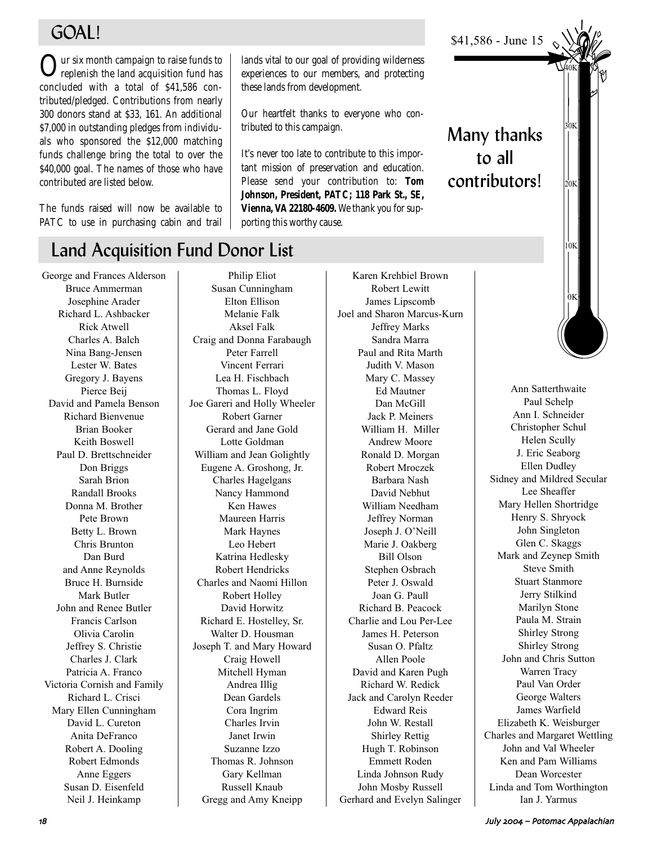# GOAL!

Our six month campaign to raise funds to replenish the land acquisition fund has concluded with a total of \$41,586 contributed/pledged. Contributions from nearly 300 donors stand at \$33, 161. An additional \$7,000 in outstanding pledges from individuals who sponsored the \$12,000 matching funds challenge bring the total to over the \$40,000 goal. The names of those who have contributed are listed below.

The funds raised will now be available to PATC to use in purchasing cabin and trail

# Land Acquisition Fund Donor List

George and Frances Alderson Bruce Ammerman Josephine Arader Richard L. Ashbacker Rick Atwell Charles A. Balch Nina Bang-Jensen Lester W. Bates Gregory J. Bayens Pierce Beij David and Pamela Benson Richard Bienvenue Brian Booker Keith Boswell Paul D. Brettschneider Don Briggs Sarah Brion Randall Brooks Donna M. Brother Pete Brown Betty L. Brown Chris Brunton Dan Burd and Anne Reynolds Bruce H. Burnside Mark Butler John and Renee Butler Francis Carlson Olivia Carolin Jeffrey S. Christie Charles J. Clark Patricia A. Franco Victoria Cornish and Family Richard L. Crisci Mary Ellen Cunningham David L. Cureton Anita DeFranco Robert A. Dooling Robert Edmonds Anne Eggers Susan D. Eisenfeld Neil J. Heinkamp

Philip Eliot Susan Cunningham Elton Ellison Melanie Falk Aksel Falk Craig and Donna Farabaugh Peter Farrell Vincent Ferrari Lea H. Fischbach Thomas L. Floyd Joe Gareri and Holly Wheeler Robert Garner Gerard and Jane Gold Lotte Goldman William and Jean Golightly Eugene A. Groshong, Jr. Charles Hagelgans Nancy Hammond Ken Hawes Maureen Harris Mark Haynes Leo Hebert Katrina Hedlesky Robert Hendricks Charles and Naomi Hillon Robert Holley David Horwitz Richard E. Hostelley, Sr. Walter D. Housman Joseph T. and Mary Howard Craig Howell Mitchell Hyman Andrea Illig Dean Gardels Cora Ingrim Charles Irvin Janet Irwin Suzanne Izzo Thomas R. Johnson Gary Kellman Russell Knaub Gregg and Amy Kneipp

Karen Krehbiel Brown Robert Lewitt James Lipscomb Joel and Sharon Marcus-Kurn Jeffrey Marks Sandra Marra Paul and Rita Marth Judith V. Mason Mary C. Massey Ed Mautner Dan McGill Jack P. Meiners William H. Miller Andrew Moore Ronald D. Morgan Robert Mroczek Barbara Nash David Nebhut William Needham Jeffrey Norman Joseph J. O'Neill Marie J. Oakberg Bill Olson Stephen Osbrach Peter J. Oswald Joan G. Paull Richard B. Peacock Charlie and Lou Per-Lee James H. Peterson Susan O. Pfaltz Allen Poole David and Karen Pugh Richard W. Redick Jack and Carolyn Reeder Edward Reis John W. Restall Shirley Rettig Hugh T. Robinson Emmett Roden Linda Johnson Rudy John Mosby Russell Gerhard and Evelyn Salinger

\$41,586 - June 15

lands vital to our goal of providing wilderness experiences to our members, and protecting

Our heartfelt thanks to everyone who con-

It's never too late to contribute to this important mission of preservation and education. Please send your contribution to: **Tom Johnson, President, PATC; 118 Park St., SE, Vienna, VA 22180-4609.** We thank you for sup-

these lands from development.

tributed to this campaign.

porting this worthy cause.

Many thanks to all

contributors!

 $10K$ 30K  $20K$ 0K 40K

Ann Satterthwaite Paul Schelp Ann I. Schneider Christopher Schul Helen Scully J. Eric Seaborg Ellen Dudley Sidney and Mildred Secular Lee Sheaffer Mary Hellen Shortridge Henry S. Shryock John Singleton Glen C. Skaggs Mark and Zeynep Smith Steve Smith Stuart Stanmore Jerry Stilkind Marilyn Stone Paula M. Strain Shirley Strong Shirley Strong John and Chris Sutton Warren Tracy Paul Van Order George Walters James Warfield Elizabeth K. Weisburger Charles and Margaret Wettling John and Val Wheeler Ken and Pam Williams Dean Worcester Linda and Tom Worthington Ian J. Yarmus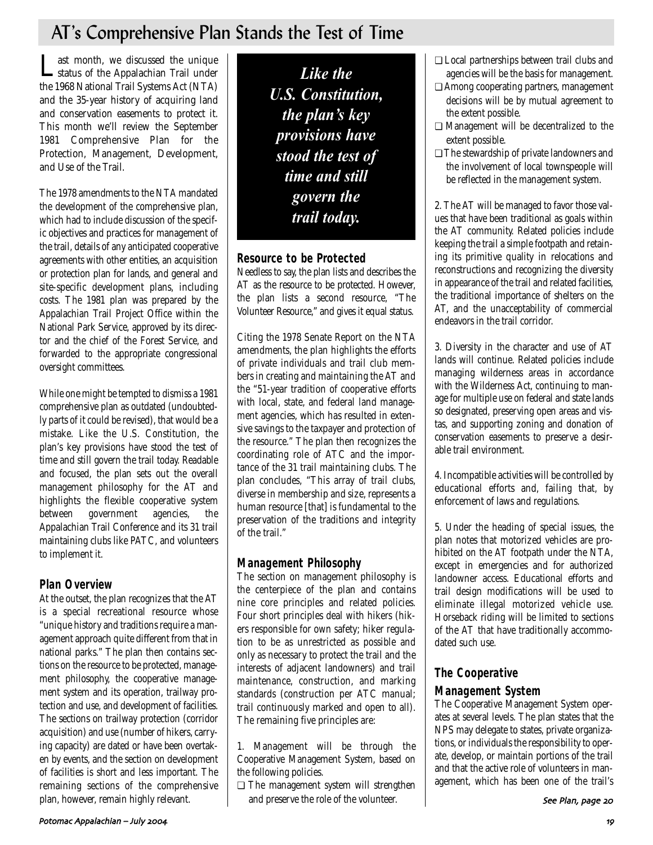# AT's Comprehensive Plan Stands the Test of Time

Last month, we discussed the unique<br>
Status of the Appalachian Trail under the 1968 National Trail Systems Act (NTA) and the 35-year history of acquiring land and conservation easements to protect it. This month we'll review the September 1981 Comprehensive Plan for the Protection, Management, Development, and Use of the Trail.

The 1978 amendments to the NTA mandated the development of the comprehensive plan, which had to include discussion of the specific objectives and practices for management of the trail, details of any anticipated cooperative agreements with other entities, an acquisition or protection plan for lands, and general and site-specific development plans, including costs. The 1981 plan was prepared by the Appalachian Trail Project Office within the National Park Service, approved by its director and the chief of the Forest Service, and forwarded to the appropriate congressional oversight committees.

While one might be tempted to dismiss a 1981 comprehensive plan as outdated (undoubtedly parts of it could be revised), that would be a mistake. Like the U.S. Constitution, the plan's key provisions have stood the test of time and still govern the trail today. Readable and focused, the plan sets out the overall management philosophy for the AT and highlights the flexible cooperative system between government agencies, the Appalachian Trail Conference and its 31 trail maintaining clubs like PATC, and volunteers to implement it.

# **Plan Overview**

At the outset, the plan recognizes that the AT is a special recreational resource whose "unique history and traditions require a management approach quite different from that in national parks." The plan then contains sections on the resource to be protected, management philosophy, the cooperative management system and its operation, trailway protection and use, and development of facilities. The sections on trailway protection (corridor acquisition) and use (number of hikers, carrying capacity) are dated or have been overtaken by events, and the section on development of facilities is short and less important. The remaining sections of the comprehensive plan, however, remain highly relevant.

*Like the U.S. Constitution, the plan's key provisions have stood the test of time and still govern the trail today.* 

# **Resource to be Protected**

Needless to say, the plan lists and describes the AT as the resource to be protected. However, the plan lists a second resource, "The Volunteer Resource," and gives it equal status.

Citing the 1978 Senate Report on the NTA amendments, the plan highlights the efforts of private individuals and trail club members in creating and maintaining the AT and the "51-year tradition of cooperative efforts with local, state, and federal land management agencies, which has resulted in extensive savings to the taxpayer and protection of the resource." The plan then recognizes the coordinating role of ATC and the importance of the 31 trail maintaining clubs. The plan concludes, "This array of trail clubs, diverse in membership and size, represents a human resource [that] is fundamental to the preservation of the traditions and integrity of the trail."

# **Management Philosophy**

The section on management philosophy is the centerpiece of the plan and contains nine core principles and related policies. Four short principles deal with hikers (hikers responsible for own safety; hiker regulation to be as unrestricted as possible and only as necessary to protect the trail and the interests of adjacent landowners) and trail maintenance, construction, and marking standards (construction per ATC manual; trail continuously marked and open to all). The remaining five principles are:

1. Management will be through the Cooperative Management System, based on the following policies.

❏ The management system will strengthen and preserve the role of the volunteer.

- ❏ Local partnerships between trail clubs and agencies will be the basis for management.
- ❏ Among cooperating partners, management decisions will be by mutual agreement to the extent possible.
- ❏ Management will be decentralized to the extent possible.
- ❏ The stewardship of private landowners and the involvement of local townspeople will be reflected in the management system.

2. The AT will be managed to favor those values that have been traditional as goals within the AT community. Related policies include keeping the trail a simple footpath and retaining its primitive quality in relocations and reconstructions and recognizing the diversity in appearance of the trail and related facilities, the traditional importance of shelters on the AT, and the unacceptability of commercial endeavors in the trail corridor.

3. Diversity in the character and use of AT lands will continue. Related policies include managing wilderness areas in accordance with the Wilderness Act, continuing to manage for multiple use on federal and state lands so designated, preserving open areas and vistas, and supporting zoning and donation of conservation easements to preserve a desirable trail environment.

4. Incompatible activities will be controlled by educational efforts and, failing that, by enforcement of laws and regulations.

5. Under the heading of special issues, the plan notes that motorized vehicles are prohibited on the AT footpath under the NTA, except in emergencies and for authorized landowner access. Educational efforts and trail design modifications will be used to eliminate illegal motorized vehicle use. Horseback riding will be limited to sections of the AT that have traditionally accommodated such use.

# **The Cooperative**

# **Management System**

The Cooperative Management System operates at several levels. The plan states that the NPS may delegate to states, private organizations, or individuals the responsibility to operate, develop, or maintain portions of the trail and that the active role of volunteers in management, which has been one of the trail's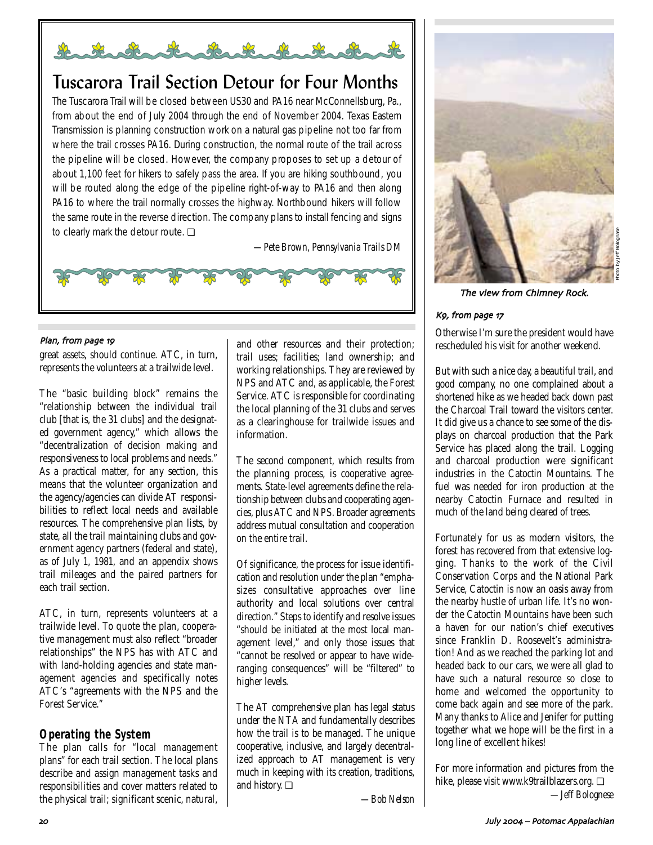

# Tuscarora Trail Section Detour for Four Months

The Tuscarora Trail will be closed between US30 and PA16 near McConnellsburg, Pa., from about the end of July 2004 through the end of November 2004. Texas Eastern Transmission is planning construction work on a natural gas pipeline not too far from where the trail crosses PA16. During construction, the normal route of the trail across the pipeline will be closed. However, the company proposes to set up a detour of about 1,100 feet for hikers to safely pass the area. If you are hiking southbound, you will be routed along the edge of the pipeline right-of-way to PA16 and then along PA16 to where the trail normally crosses the highway. Northbound hikers will follow the same route in the reverse direction. The company plans to install fencing and signs to clearly mark the detour route. **□** 

*—Pete Brown, Pennsylvania Trails DM*



## Plan, from page 19

great assets, should continue. ATC, in turn, represents the volunteers at a trailwide level.

The "basic building block" remains the "relationship between the individual trail club [that is, the 31 clubs] and the designated government agency," which allows the "decentralization of decision making and responsiveness to local problems and needs." As a practical matter, for any section, this means that the volunteer organization and the agency/agencies can divide AT responsibilities to reflect local needs and available resources. The comprehensive plan lists, by state, all the trail maintaining clubs and government agency partners (federal and state), as of July 1, 1981, and an appendix shows trail mileages and the paired partners for each trail section.

ATC, in turn, represents volunteers at a trailwide level. To quote the plan, cooperative management must also reflect "broader relationships" the NPS has with ATC and with land-holding agencies and state management agencies and specifically notes ATC's "agreements with the NPS and the Forest Service."

# **Operating the System**

The plan calls for "local management plans" for each trail section. The local plans describe and assign management tasks and responsibilities and cover matters related to the physical trail; significant scenic, natural,

and other resources and their protection; trail uses; facilities; land ownership; and working relationships. They are reviewed by NPS and ATC and, as applicable, the Forest Service. ATC is responsible for coordinating the local planning of the 31 clubs and serves as a clearinghouse for trailwide issues and information.

The second component, which results from the planning process, is cooperative agreements. State-level agreements define the relationship between clubs and cooperating agencies, plus ATC and NPS. Broader agreements address mutual consultation and cooperation on the entire trail.

Of significance, the process for issue identification and resolution under the plan "emphasizes consultative approaches over line authority and local solutions over central direction." Steps to identify and resolve issues "should be initiated at the most local management level," and only those issues that "cannot be resolved or appear to have wideranging consequences" will be "filtered" to higher levels.

The AT comprehensive plan has legal status under the NTA and fundamentally describes how the trail is to be managed. The unique cooperative, inclusive, and largely decentralized approach to AT management is very much in keeping with its creation, traditions, and history. ❏

*—Bob Nelson*



Photo by Jeff Bolognase

The view from Chimney Rock.

## K9, from page 17

Otherwise I'm sure the president would have rescheduled his visit for another weekend.

But with such a nice day, a beautiful trail, and good company, no one complained about a shortened hike as we headed back down past the Charcoal Trail toward the visitors center. It did give us a chance to see some of the displays on charcoal production that the Park Service has placed along the trail. Logging and charcoal production were significant industries in the Catoctin Mountains. The fuel was needed for iron production at the nearby Catoctin Furnace and resulted in much of the land being cleared of trees.

Fortunately for us as modern visitors, the forest has recovered from that extensive logging. Thanks to the work of the Civil Conservation Corps and the National Park Service, Catoctin is now an oasis away from the nearby hustle of urban life. It's no wonder the Catoctin Mountains have been such a haven for our nation's chief executives since Franklin D. Roosevelt's administration! And as we reached the parking lot and headed back to our cars, we were all glad to have such a natural resource so close to home and welcomed the opportunity to come back again and see more of the park. Many thanks to Alice and Jenifer for putting together what we hope will be the first in a long line of excellent hikes!

For more information and pictures from the hike, please visit www.k9trailblazers.org. ❏ *—Jeff Bolognese*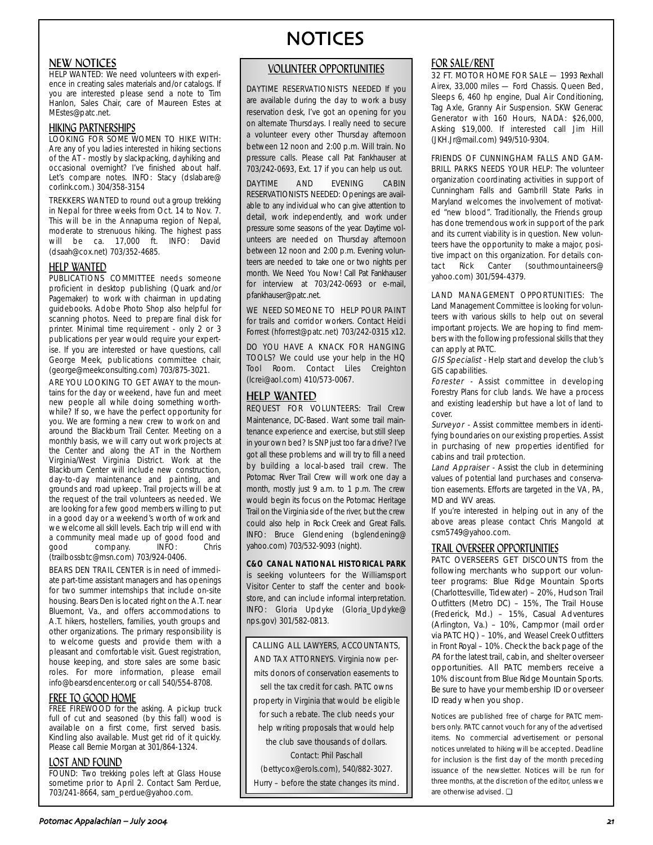## NEW NOTICES

HELP WANTED: We need volunteers with experience in creating sales materials and/or catalogs. If you are interested please send a note to Tim Hanlon, Sales Chair, care of Maureen Estes at MEstes@patc.net.

# HIKING PARTNERSHIPS LOOKING FOR SOME WOMEN TO HIKE WITH:

Are any of you ladies interested in hiking sections of the AT - mostly by slackpacking, dayhiking and occasional overnight? I've finished about half. Let's compare notes. INFO: Stacy (dslabare@ corlink.com.) 304/358-3154

TREKKERS WANTED to round out a group trekking in Nepal for three weeks from Oct. 14 to Nov. 7. This will be in the Annapurna region of Nepal, moderate to strenuous hiking. The highest pass will be ca. 17,000 ft. INFO: David (dsaah@cox.net) 703/352-4685.

## HELP WANTED

PUBLICATIONS COMMITTEE needs someone proficient in desktop publishing (Quark and/or Pagemaker) to work with chairman in updating guidebooks. Adobe Photo Shop also helpful for scanning photos. Need to prepare final disk for printer. Minimal time requirement - only 2 or 3 publications per year would require your expertise. If you are interested or have questions, call George Meek, publications committee chair, (george@meekconsulting.com) 703/875-3021.

ARE YOU LOOKING TO GET AWAY to the mountains for the day or weekend, have fun and meet new people all while doing something worthwhile? If so, we have the perfect opportunity for you. We are forming a new crew to work on and around the Blackburn Trail Center. Meeting on a monthly basis, we will carry out work projects at the Center and along the AT in the Northern Virginia/West Virginia District. Work at the Blackburn Center will include new construction, day-to-day maintenance and painting, and grounds and road upkeep. Trail projects will be at the request of the trail volunteers as needed. We are looking for a few good members willing to put in a good day or a weekend's worth of work and we welcome all skill levels. Each trip will end with a community meal made up of good food and<br>good company. INFO: Chris company. INFO: Chris (trailbossbtc@msn.com) 703/924-0406.

BEARS DEN TRAIL CENTER is in need of immediate part-time assistant managers and has openings for two summer internships that include on-site housing. Bears Den is located right on the A.T. near Bluemont, Va., and offers accommodations to A.T. hikers, hostellers, families, youth groups and other organizations. The primary responsibility is to welcome guests and provide them with a pleasant and comfortable visit. Guest registration, house keeping, and store sales are some basic roles. For more information, please email info@bearsdencenter.org or call 540/554-8708.

## FREE TO GOOD HOME

FREE FIREWOOD for the asking. A pickup truck full of cut and seasoned (by this fall) wood is available on a first come, first served basis. Kindling also available. Must get rid of it quickly. Please call Bernie Morgan at 301/864-1324.

## LOST AND FOUND

FOUND: Two trekking poles left at Glass House sometime prior to April 2. Contact Sam Perdue, 703/241-8664, sam\_perdue@yahoo.com.

# NOTICES

## VOLUNTEER OPPORTUNITIES

DAYTIME RESERVATIONISTS NEEDED If you are available during the day to work a busy reservation desk, I've got an opening for you on alternate Thursdays. I really need to secure a volunteer every other Thursday afternoon between 12 noon and 2:00 p.m. Will train. No pressure calls. Please call Pat Fankhauser at 703/242-0693, Ext. 17 if you can help us out.

DAYTIME AND EVENING CABIN RESERVATIONISTS NEEDED: Openings are available to any individual who can give attention to detail, work independently, and work under pressure some seasons of the year. Daytime volunteers are needed on Thursday afternoon between 12 noon and 2:00 p.m. Evening volunteers are needed to take one or two nights per month. We Need You Now! Call Pat Fankhauser for interview at 703/242-0693 or e-mail, pfankhauser@patc.net.

WE NEED SOMEONE TO HELP POUR PAINT for trails and corridor workers. Contact Heidi Forrest (hforrest@patc.net) 703/242-0315 x12.

DO YOU HAVE A KNACK FOR HANGING TOOLS? We could use your help in the HQ Tool Room. Contact Liles Creighton (lcrei@aol.com) 410/573-0067.

## HELP WANTED

REQUEST FOR VOLUNTEERS: Trail Crew Maintenance, DC-Based. Want some trail maintenance experience and exercise, but still sleep in your own bed? Is SNP just too far a drive? I've got all these problems and will try to fill a need by building a local-based trail crew. The Potomac River Trail Crew will work one day a month, mostly just 9 a.m. to 1 p.m. The crew would begin its focus on the Potomac Heritage Trail on the Virginia side of the river, but the crew could also help in Rock Creek and Great Falls. INFO: Bruce Glendening (bglendening@ yahoo.com) 703/532-9093 (night).

**C&O CANAL NATIONAL HISTORICAL PARK** is seeking volunteers for the Williamsport Visitor Center to staff the center and bookstore, and can include informal interpretation. INFO: Gloria Updyke (Gloria\_Updyke@ nps.gov) 301/582-0813.

CALLING ALL LAWYERS, ACCOUNTANTS, AND TAX ATTORNEYS. Virginia now permits donors of conservation easements to sell the tax credit for cash. PATC owns property in Virginia that would be eligible for such a rebate. The club needs your help writing proposals that would help the club save thousands of dollars. Contact: Phil Paschall (bettycox@erols.com), 540/882-3027. Hurry – before the state changes its mind.

# FOR SALE/RENT

32 FT. MOTOR HOME FOR SALE - 1993 Rexhall Airex, 33,000 miles — Ford Chassis. Queen Bed, Sleeps 6, 460 hp engine, Dual Air Conditioning, Tag Axle, Granny Air Suspension. SKW Generac Generator with 160 Hours, NADA: \$26,000, Asking \$19,000. If interested call Jim Hill (JKH.Jr@mail.com) 949/510-9304.

FRIENDS OF CUNNINGHAM FALLS AND GAM-BRILL PARKS NEEDS YOUR HELP: The volunteer organization coordinating activities in support of Cunningham Falls and Gambrill State Parks in Maryland welcomes the involvement of motivated "new blood". Traditionally, the Friends group has done tremendous work in support of the park and its current viability is in question. New volunteers have the opportunity to make a major, positive impact on this organization. For details con-<br>tact Rick Canter (southmountaineers@ tact Rick Canter (southmountaineers@ yahoo.com) 301/594-4379.

LAND MANAGEMENT OPPORTUNITIES: The Land Management Committee is looking for volunteers with various skills to help out on several important projects. We are hoping to find members with the following professional skills that they can apply at PATC.

GIS Specialist - Help start and develop the club's GIS capabilities.

Forester - Assist committee in developing Forestry Plans for club lands. We have a process and existing leadership but have a lot of land to cover.

Surveyor - Assist committee members in identifying boundaries on our existing properties. Assist in purchasing of new properties identified for cabins and trail protection.

Land Appraiser - Assist the club in determining values of potential land purchases and conservation easements. Efforts are targeted in the VA, PA, MD and WV areas.

If you're interested in helping out in any of the above areas please contact Chris Mangold at csm5749@yahoo.com.

# TRAIL OVERSEER OPPORTUNITIES

PATC OVERSEERS GET DISCOUNTS from the following merchants who support our volunteer programs: Blue Ridge Mountain Sports (Charlottesville, Tidewater) – 20%, Hudson Trail Outfitters (Metro DC) – 15%, The Trail House (Frederick, Md.) – 15%, Casual Adventures (Arlington, Va.) – 10%, Campmor (mail order via PATC HQ) – 10%, and Weasel Creek Outfitters in Front Royal – 10%. Check the back page of the PA for the latest trail, cabin, and shelter overseer opportunities. All PATC members receive a 10% discount from Blue Ridge Mountain Sports. Be sure to have your membership ID or overseer ID ready when you shop.

Notices are published free of charge for PATC members only. PATC cannot vouch for any of the advertised items. No commercial advertisement or personal notices unrelated to hiking will be accepted. Deadline for inclusion is the first day of the month preceding issuance of the newsletter. Notices will be run for three months, at the discretion of the editor, unless we are otherwise advised. ❏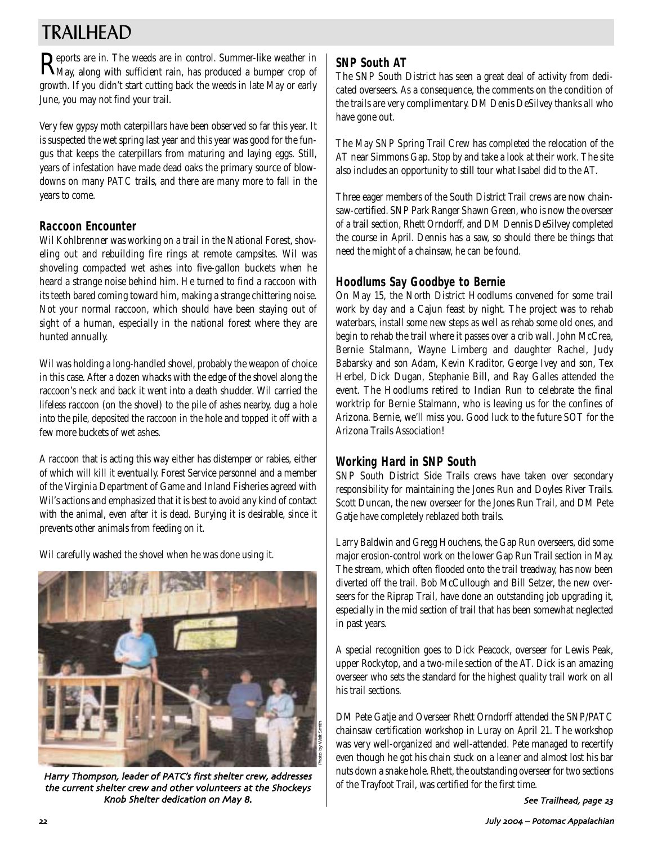# TRAILHEAD

Reports are in. The weeds are in control. Summer-like weather in May, along with sufficient rain, has produced a bumper crop of growth. If you didn't start cutting back the weeds in late May or early June, you may not find your trail.

Very few gypsy moth caterpillars have been observed so far this year. It is suspected the wet spring last year and this year was good for the fungus that keeps the caterpillars from maturing and laying eggs. Still, years of infestation have made dead oaks the primary source of blowdowns on many PATC trails, and there are many more to fall in the years to come.

# **Raccoon Encounter**

Wil Kohlbrenner was working on a trail in the National Forest, shoveling out and rebuilding fire rings at remote campsites. Wil was shoveling compacted wet ashes into five-gallon buckets when he heard a strange noise behind him. He turned to find a raccoon with its teeth bared coming toward him, making a strange chittering noise. Not your normal raccoon, which should have been staying out of sight of a human, especially in the national forest where they are hunted annually.

Wil was holding a long-handled shovel, probably the weapon of choice in this case. After a dozen whacks with the edge of the shovel along the raccoon's neck and back it went into a death shudder. Wil carried the lifeless raccoon (on the shovel) to the pile of ashes nearby, dug a hole into the pile, deposited the raccoon in the hole and topped it off with a few more buckets of wet ashes.

A raccoon that is acting this way either has distemper or rabies, either of which will kill it eventually. Forest Service personnel and a member of the Virginia Department of Game and Inland Fisheries agreed with Wil's actions and emphasized that it is best to avoid any kind of contact with the animal, even after it is dead. Burying it is desirable, since it prevents other animals from feeding on it.

Wil carefully washed the shovel when he was done using it.



Harry Thompson, leader of PATC's first shelter crew, addresses the current shelter crew and other volunteers at the Shockeys Knob Shelter dedication on May 8.

# **SNP South AT**

The SNP South District has seen a great deal of activity from dedicated overseers. As a consequence, the comments on the condition of the trails are very complimentary. DM Denis DeSilvey thanks all who have gone out.

The May SNP Spring Trail Crew has completed the relocation of the AT near Simmons Gap. Stop by and take a look at their work. The site also includes an opportunity to still tour what Isabel did to the AT.

Three eager members of the South District Trail crews are now chainsaw-certified. SNP Park Ranger Shawn Green, who is now the overseer of a trail section, Rhett Orndorff, and DM Dennis DeSilvey completed the course in April. Dennis has a saw, so should there be things that need the might of a chainsaw, he can be found.

# **Hoodlums Say Goodbye to Bernie**

On May 15, the North District Hoodlums convened for some trail work by day and a Cajun feast by night. The project was to rehab waterbars, install some new steps as well as rehab some old ones, and begin to rehab the trail where it passes over a crib wall. John McCrea, Bernie Stalmann, Wayne Limberg and daughter Rachel, Judy Babarsky and son Adam, Kevin Kraditor, George Ivey and son, Tex Herbel, Dick Dugan, Stephanie Bill, and Ray Galles attended the event. The Hoodlums retired to Indian Run to celebrate the final worktrip for Bernie Stalmann, who is leaving us for the confines of Arizona. Bernie, we'll miss you. Good luck to the future SOT for the Arizona Trails Association!

# **Working Hard in SNP South**

SNP South District Side Trails crews have taken over secondary responsibility for maintaining the Jones Run and Doyles River Trails. Scott Duncan, the new overseer for the Jones Run Trail, and DM Pete Gatje have completely reblazed both trails.

Larry Baldwin and Gregg Houchens, the Gap Run overseers, did some major erosion-control work on the lower Gap Run Trail section in May. The stream, which often flooded onto the trail treadway, has now been diverted off the trail. Bob McCullough and Bill Setzer, the new overseers for the Riprap Trail, have done an outstanding job upgrading it, especially in the mid section of trail that has been somewhat neglected in past years.

A special recognition goes to Dick Peacock, overseer for Lewis Peak, upper Rockytop, and a two-mile section of the AT. Dick is an amazing overseer who sets the standard for the highest quality trail work on all his trail sections.

DM Pete Gatje and Overseer Rhett Orndorff attended the SNP/PATC chainsaw certification workshop in Luray on April 21. The workshop was very well-organized and well-attended. Pete managed to recertify even though he got his chain stuck on a leaner and almost lost his bar nuts down a snake hole. Rhett, the outstanding overseer for two sections of the Trayfoot Trail, was certified for the first time.

See Trailhead, page 23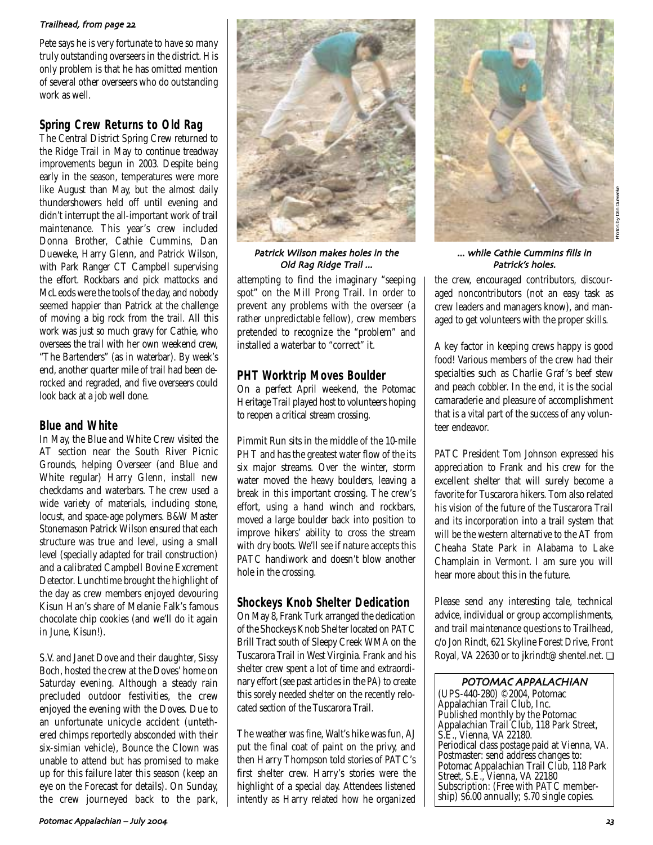## Trailhead, from page 22

Pete says he is very fortunate to have so many truly outstanding overseers in the district. His only problem is that he has omitted mention of several other overseers who do outstanding work as well.

# **Spring Crew Returns to Old Rag**

The Central District Spring Crew returned to the Ridge Trail in May to continue treadway improvements begun in 2003. Despite being early in the season, temperatures were more like August than May, but the almost daily thundershowers held off until evening and didn't interrupt the all-important work of trail maintenance. This year's crew included Donna Brother, Cathie Cummins, Dan Dueweke, Harry Glenn, and Patrick Wilson, with Park Ranger CT Campbell supervising the effort. Rockbars and pick mattocks and McLeods were the tools of the day, and nobody seemed happier than Patrick at the challenge of moving a big rock from the trail. All this work was just so much gravy for Cathie, who oversees the trail with her own weekend crew, "The Bartenders" (as in waterbar). By week's end, another quarter mile of trail had been derocked and regraded, and five overseers could look back at a job well done.

# **Blue and White**

In May, the Blue and White Crew visited the AT section near the South River Picnic Grounds, helping Overseer (and Blue and White regular) Harry Glenn, install new checkdams and waterbars. The crew used a wide variety of materials, including stone, locust, and space-age polymers. B&W Master Stonemason Patrick Wilson ensured that each structure was true and level, using a small level (specially adapted for trail construction) and a calibrated Campbell Bovine Excrement Detector. Lunchtime brought the highlight of the day as crew members enjoyed devouring Kisun Han's share of Melanie Falk's famous chocolate chip cookies (and we'll do it again in June, Kisun!).

S.V. and Janet Dove and their daughter, Sissy Boch, hosted the crew at the Doves' home on Saturday evening. Although a steady rain precluded outdoor festivities, the crew enjoyed the evening with the Doves. Due to an unfortunate unicycle accident (untethered chimps reportedly absconded with their six-simian vehicle), Bounce the Clown was unable to attend but has promised to make up for this failure later this season (keep an eye on the Forecast for details). On Sunday, the crew journeyed back to the park,



Patrick Wilson makes holes in the Old Rag Ridge Trail ...

attempting to find the imaginary "seeping spot" on the Mill Prong Trail. In order to prevent any problems with the overseer (a rather unpredictable fellow), crew members pretended to recognize the "problem" and installed a waterbar to "correct" it.

# **PHT Worktrip Moves Boulder**

On a perfect April weekend, the Potomac Heritage Trail played host to volunteers hoping to reopen a critical stream crossing.

Pimmit Run sits in the middle of the 10-mile PHT and has the greatest water flow of the its six major streams. Over the winter, storm water moved the heavy boulders, leaving a break in this important crossing. The crew's effort, using a hand winch and rockbars, moved a large boulder back into position to improve hikers' ability to cross the stream with dry boots. We'll see if nature accepts this PATC handiwork and doesn't blow another hole in the crossing.

# **Shockeys Knob Shelter Dedication**

On May 8, Frank Turk arranged the dedication of the Shockeys Knob Shelter located on PATC Brill Tract south of Sleepy Creek WMA on the Tuscarora Trail in West Virginia. Frank and his shelter crew spent a lot of time and extraordinary effort (see past articles in the *PA*) to create this sorely needed shelter on the recently relocated section of the Tuscarora Trail.

The weather was fine, Walt's hike was fun, AJ put the final coat of paint on the privy, and then Harry Thompson told stories of PATC's first shelter crew. Harry's stories were the highlight of a special day. Attendees listened intently as Harry related how he organized



## ... while Cathie Cummins fills in Patrick's holes.

the crew, encouraged contributors, discouraged noncontributors (not an easy task as crew leaders and managers know), and managed to get volunteers with the proper skills.

A key factor in keeping crews happy is good food! Various members of the crew had their specialties such as Charlie Graf 's beef stew and peach cobbler. In the end, it is the social camaraderie and pleasure of accomplishment that is a vital part of the success of any volunteer endeavor.

PATC President Tom Johnson expressed his appreciation to Frank and his crew for the excellent shelter that will surely become a favorite for Tuscarora hikers. Tom also related his vision of the future of the Tuscarora Trail and its incorporation into a trail system that will be the western alternative to the AT from Cheaha State Park in Alabama to Lake Champlain in Vermont. I am sure you will hear more about this in the future.

Please send any interesting tale, technical advice, individual or group accomplishments, and trail maintenance questions to Trailhead, c/o Jon Rindt, 621 Skyline Forest Drive, Front Royal, VA 22630 or to jkrindt@shentel.net. ❏

## POTOMAC APPALACHIAN

(UPS-440-280) ©2004, Potomac Appalachian Trail Club, Inc. Published monthly by the Potomac Appalachian Trail Club, 118 Park Street, S.E., Vienna, VA 22180. Periodical class postage paid at Vienna, VA. Postmaster: send address changes to: Potomac Appalachian Trail Club, 118 Park Street, S.E., Vienna, VA 22180 Subscription: (Free with PATC membership) \$6.00 annually; \$.70 single copies.